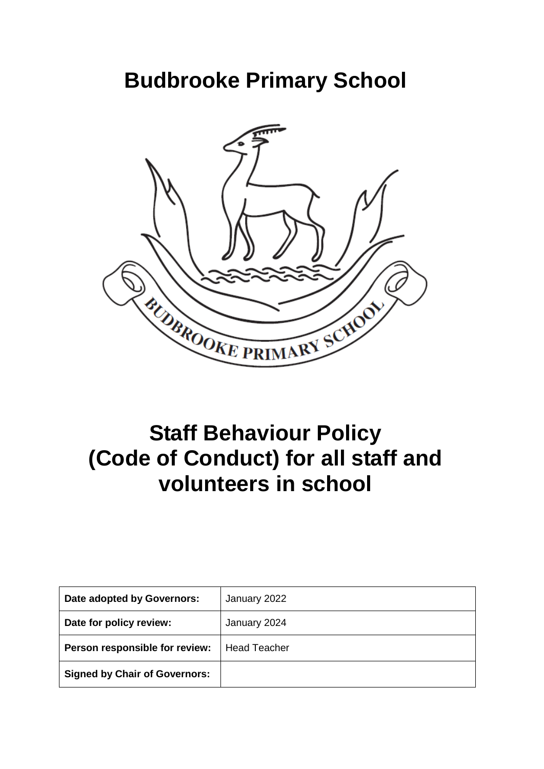# **Budbrooke Primary School**



# **Staff Behaviour Policy (Code of Conduct) for all staff and volunteers in school**

| Date adopted by Governors:           | January 2022        |
|--------------------------------------|---------------------|
| Date for policy review:              | January 2024        |
| Person responsible for review:       | <b>Head Teacher</b> |
| <b>Signed by Chair of Governors:</b> |                     |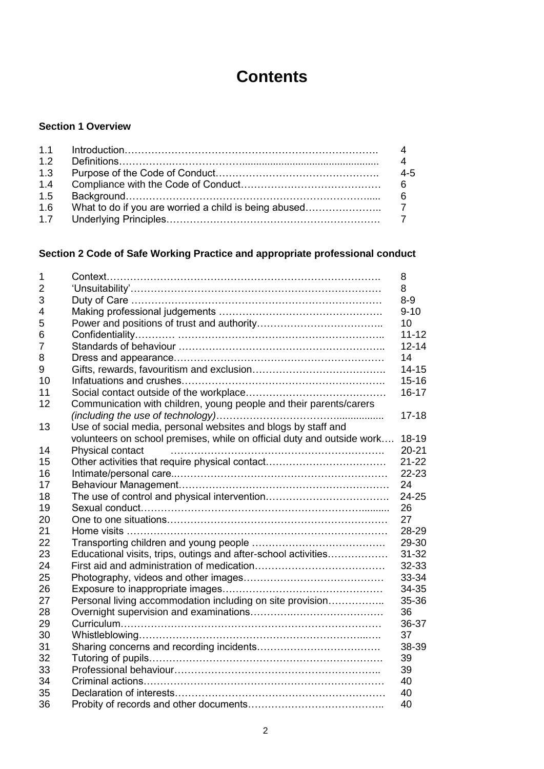# **Contents**

# **Section 1 Overview**

| 1.2 |         |
|-----|---------|
| 1.3 | $4 - 5$ |
| 1.4 |         |
| 1.5 | - 6     |
| 1.6 |         |
|     |         |

# **Section 2 Code of Safe Working Practice and appropriate professional conduct**

| 1                |                                                                        | 8         |
|------------------|------------------------------------------------------------------------|-----------|
| $\overline{2}$   |                                                                        | 8         |
| 3                |                                                                        | $8-9$     |
| 4                |                                                                        | $9 - 10$  |
| 5                |                                                                        | 10        |
| 6                |                                                                        | $11 - 12$ |
| 7                |                                                                        | $12 - 14$ |
| 8                |                                                                        | 14        |
| $\boldsymbol{9}$ |                                                                        | $14 - 15$ |
| 10               |                                                                        | $15 - 16$ |
| 11               |                                                                        | $16 - 17$ |
| 12               | Communication with children, young people and their parents/carers     |           |
|                  |                                                                        | $17 - 18$ |
| 13               | Use of social media, personal websites and blogs by staff and          |           |
|                  | volunteers on school premises, while on official duty and outside work | 18-19     |
| 14               | Physical contact                                                       | $20 - 21$ |
| 15               |                                                                        | $21 - 22$ |
| 16               |                                                                        | $22 - 23$ |
| 17               |                                                                        | 24        |
| 18               |                                                                        | $24 - 25$ |
| 19               |                                                                        | 26        |
| 20               |                                                                        | 27        |
| 21               |                                                                        | 28-29     |
| 22               |                                                                        | 29-30     |
| 23               | Educational visits, trips, outings and after-school activities         | $31 - 32$ |
| 24               |                                                                        | 32-33     |
| 25               |                                                                        | 33-34     |
| 26               |                                                                        | 34-35     |
| 27               | Personal living accommodation including on site provision              | 35-36     |
| 28               |                                                                        | 36        |
| 29               |                                                                        | 36-37     |
| 30               |                                                                        | 37        |
| 31               |                                                                        | 38-39     |
| 32               |                                                                        | 39        |
| 33               |                                                                        | 39        |
| 34               |                                                                        | 40        |
| 35               |                                                                        | 40        |
| 36               |                                                                        | 40        |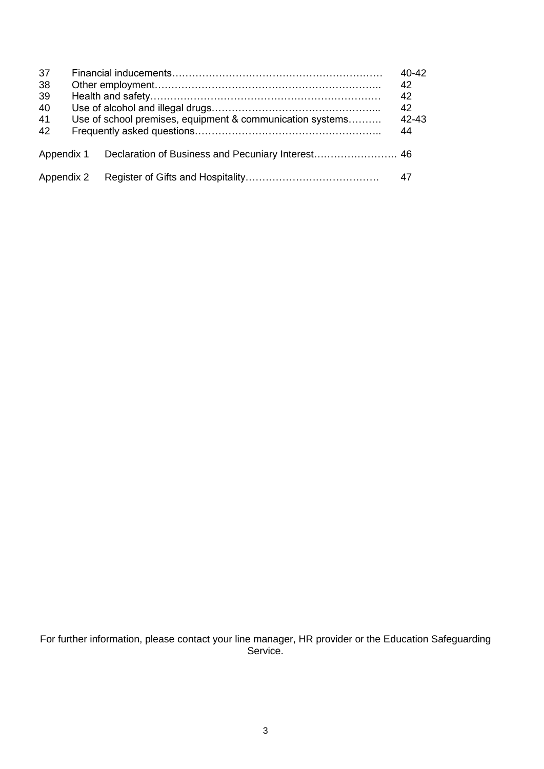| 37<br>38<br>39<br>40<br>41<br>42 | Use of school premises, equipment & communication systems | $40 - 42$<br>42<br>42<br>42<br>$42 - 43$<br>44 |
|----------------------------------|-----------------------------------------------------------|------------------------------------------------|
| Appendix 1                       |                                                           |                                                |
| Appendix 2                       |                                                           | 47                                             |

For further information, please contact your line manager, HR provider or the Education Safeguarding Service.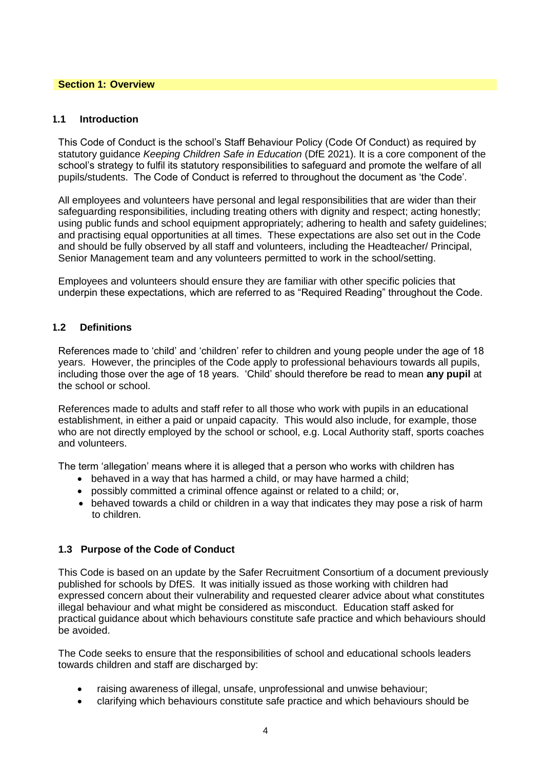#### **Section 1: Overview**

#### **1.1 Introduction**

This Code of Conduct is the school's Staff Behaviour Policy (Code Of Conduct) as required by statutory guidance *Keeping Children Safe in Education* (DfE 2021). It is a core component of the school's strategy to fulfil its statutory responsibilities to safeguard and promote the welfare of all pupils/students. The Code of Conduct is referred to throughout the document as 'the Code'*.* 

All employees and volunteers have personal and legal responsibilities that are wider than their safeguarding responsibilities, including treating others with dignity and respect; acting honestly; using public funds and school equipment appropriately; adhering to health and safety guidelines; and practising equal opportunities at all times. These expectations are also set out in the Code and should be fully observed by all staff and volunteers, including the Headteacher/ Principal, Senior Management team and any volunteers permitted to work in the school/setting.

Employees and volunteers should ensure they are familiar with other specific policies that underpin these expectations, which are referred to as "Required Reading" throughout the Code.

# **1.2 Definitions**

References made to 'child' and 'children' refer to children and young people under the age of 18 years. However, the principles of the Code apply to professional behaviours towards all pupils, including those over the age of 18 years. 'Child' should therefore be read to mean **any pupil** at the school or school.

References made to adults and staff refer to all those who work with pupils in an educational establishment, in either a paid or unpaid capacity. This would also include, for example, those who are not directly employed by the school or school, e.g. Local Authority staff, sports coaches and volunteers.

The term 'allegation' means where it is alleged that a person who works with children has

- behaved in a way that has harmed a child, or may have harmed a child;
- possibly committed a criminal offence against or related to a child; or,
- behaved towards a child or children in a way that indicates they may pose a risk of harm to children.

# **1.3 Purpose of the Code of Conduct**

This Code is based on an update by the Safer Recruitment Consortium of a document previously published for schools by DfES. It was initially issued as those working with children had expressed concern about their vulnerability and requested clearer advice about what constitutes illegal behaviour and what might be considered as misconduct. Education staff asked for practical guidance about which behaviours constitute safe practice and which behaviours should be avoided.

The Code seeks to ensure that the responsibilities of school and educational schools leaders towards children and staff are discharged by:

- raising awareness of illegal, unsafe, unprofessional and unwise behaviour;
- clarifying which behaviours constitute safe practice and which behaviours should be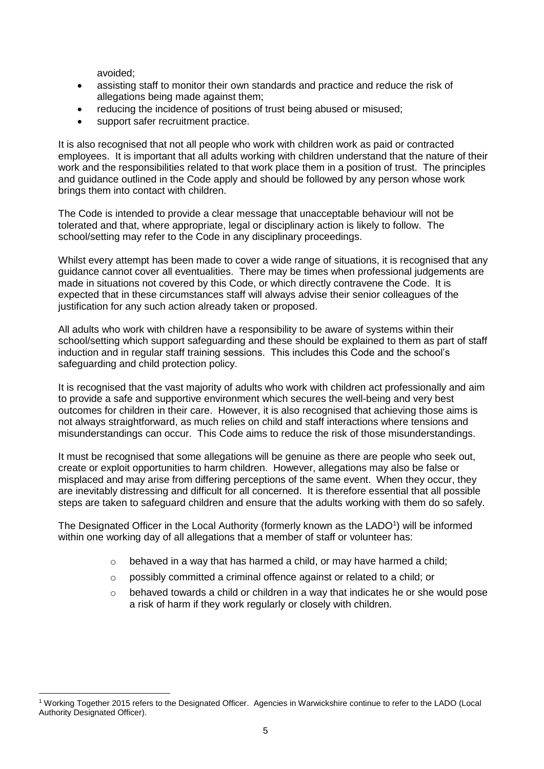avoided;

- assisting staff to monitor their own standards and practice and reduce the risk of allegations being made against them;
- reducing the incidence of positions of trust being abused or misused;
- support safer recruitment practice.

It is also recognised that not all people who work with children work as paid or contracted employees. It is important that all adults working with children understand that the nature of their work and the responsibilities related to that work place them in a position of trust. The principles and guidance outlined in the Code apply and should be followed by any person whose work brings them into contact with children.

The Code is intended to provide a clear message that unacceptable behaviour will not be tolerated and that, where appropriate, legal or disciplinary action is likely to follow. The school/setting may refer to the Code in any disciplinary proceedings.

Whilst every attempt has been made to cover a wide range of situations, it is recognised that any guidance cannot cover all eventualities. There may be times when professional judgements are made in situations not covered by this Code, or which directly contravene the Code. It is expected that in these circumstances staff will always advise their senior colleagues of the justification for any such action already taken or proposed.

All adults who work with children have a responsibility to be aware of systems within their school/setting which support safeguarding and these should be explained to them as part of staff induction and in regular staff training sessions. This includes this Code and the school's safeguarding and child protection policy.

It is recognised that the vast majority of adults who work with children act professionally and aim to provide a safe and supportive environment which secures the well-being and very best outcomes for children in their care. However, it is also recognised that achieving those aims is not always straightforward, as much relies on child and staff interactions where tensions and misunderstandings can occur. This Code aims to reduce the risk of those misunderstandings.

It must be recognised that some allegations will be genuine as there are people who seek out, create or exploit opportunities to harm children. However, allegations may also be false or misplaced and may arise from differing perceptions of the same event. When they occur, they are inevitably distressing and difficult for all concerned. It is therefore essential that all possible steps are taken to safeguard children and ensure that the adults working with them do so safely.

The Designated Officer in the Local Authority (formerly known as the LADO<sup>1</sup>) will be informed within one working day of all allegations that a member of staff or volunteer has:

- $\circ$  behaved in a way that has harmed a child, or may have harmed a child;
- o possibly committed a criminal offence against or related to a child; or
- o behaved towards a child or children in a way that indicates he or she would pose a risk of harm if they work regularly or closely with children.

l <sup>1</sup> Working Together 2015 refers to the Designated Officer. Agencies in Warwickshire continue to refer to the LADO (Local Authority Designated Officer).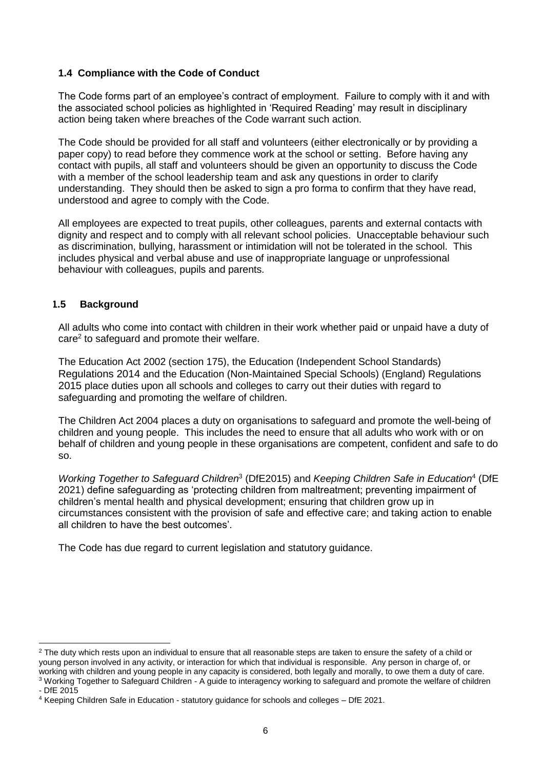# **1.4 Compliance with the Code of Conduct**

The Code forms part of an employee's contract of employment. Failure to comply with it and with the associated school policies as highlighted in 'Required Reading' may result in disciplinary action being taken where breaches of the Code warrant such action.

The Code should be provided for all staff and volunteers (either electronically or by providing a paper copy) to read before they commence work at the school or setting. Before having any contact with pupils, all staff and volunteers should be given an opportunity to discuss the Code with a member of the school leadership team and ask any questions in order to clarify understanding. They should then be asked to sign a pro forma to confirm that they have read, understood and agree to comply with the Code.

All employees are expected to treat pupils, other colleagues, parents and external contacts with dignity and respect and to comply with all relevant school policies. Unacceptable behaviour such as discrimination, bullying, harassment or intimidation will not be tolerated in the school. This includes physical and verbal abuse and use of inappropriate language or unprofessional behaviour with colleagues, pupils and parents.

# **1.5 Background**

All adults who come into contact with children in their work whether paid or unpaid have a duty of care<sup>2</sup> to safeguard and promote their welfare.

The Education Act 2002 (section 175), the Education (Independent School Standards) Regulations 2014 and the Education (Non-Maintained Special Schools) (England) Regulations 2015 place duties upon all schools and colleges to carry out their duties with regard to safeguarding and promoting the welfare of children.

The Children Act 2004 places a duty on organisations to safeguard and promote the well-being of children and young people. This includes the need to ensure that all adults who work with or on behalf of children and young people in these organisations are competent, confident and safe to do so.

Working Together to Safeguard Children<sup>3</sup> (DfE2015) and *Keeping Children Safe in Education<sup>4</sup>* (DfE 2021) define safeguarding as 'protecting children from maltreatment; preventing impairment of children's mental health and physical development; ensuring that children grow up in circumstances consistent with the provision of safe and effective care; and taking action to enable all children to have the best outcomes'.

The Code has due regard to current legislation and statutory guidance.

l

<sup>&</sup>lt;sup>2</sup> The duty which rests upon an individual to ensure that all reasonable steps are taken to ensure the safety of a child or young person involved in any activity, or interaction for which that individual is responsible. Any person in charge of, or working with children and young people in any capacity is considered, both legally and morally, to owe them a duty of care. <sup>3</sup> Working Together to Safeguard Children - A guide to interagency working to safeguard and promote the welfare of children

<sup>-</sup> DfE 2015

<sup>4</sup> Keeping Children Safe in Education - statutory guidance for schools and colleges – DfE 2021.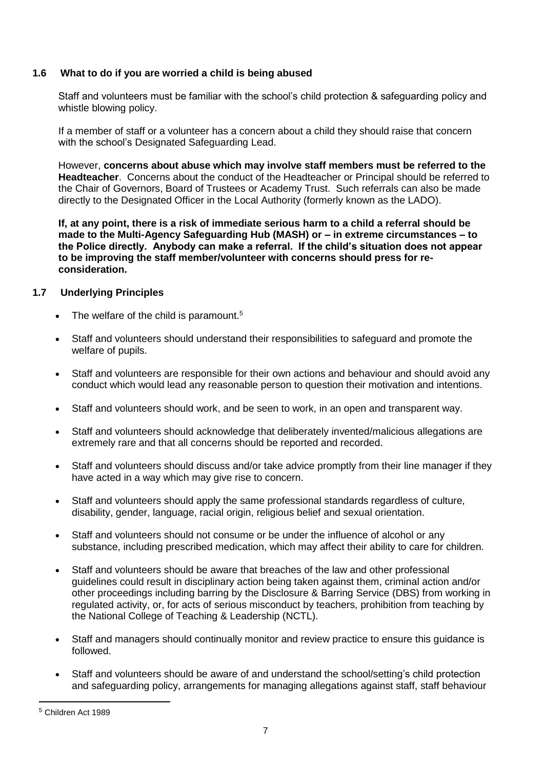# **1.6 What to do if you are worried a child is being abused**

Staff and volunteers must be familiar with the school's child protection & safeguarding policy and whistle blowing policy.

If a member of staff or a volunteer has a concern about a child they should raise that concern with the school's Designated Safeguarding Lead.

However, **concerns about abuse which may involve staff members must be referred to the Headteacher**. Concerns about the conduct of the Headteacher or Principal should be referred to the Chair of Governors, Board of Trustees or Academy Trust. Such referrals can also be made directly to the Designated Officer in the Local Authority (formerly known as the LADO).

**If, at any point, there is a risk of immediate serious harm to a child a referral should be made to the Multi-Agency Safeguarding Hub (MASH) or – in extreme circumstances – to the Police directly. Anybody can make a referral. If the child's situation does not appear to be improving the staff member/volunteer with concerns should press for reconsideration.** 

# **1.7 Underlying Principles**

- $\bullet$  The welfare of the child is paramount.<sup>5</sup>
- Staff and volunteers should understand their responsibilities to safeguard and promote the welfare of pupils.
- Staff and volunteers are responsible for their own actions and behaviour and should avoid any conduct which would lead any reasonable person to question their motivation and intentions.
- Staff and volunteers should work, and be seen to work, in an open and transparent way.
- Staff and volunteers should acknowledge that deliberately invented/malicious allegations are extremely rare and that all concerns should be reported and recorded.
- Staff and volunteers should discuss and/or take advice promptly from their line manager if they have acted in a way which may give rise to concern.
- Staff and volunteers should apply the same professional standards regardless of culture, disability, gender, language, racial origin, religious belief and sexual orientation.
- Staff and volunteers should not consume or be under the influence of alcohol or any substance, including prescribed medication, which may affect their ability to care for children.
- Staff and volunteers should be aware that breaches of the law and other professional guidelines could result in disciplinary action being taken against them, criminal action and/or other proceedings including barring by the Disclosure & Barring Service (DBS) from working in regulated activity, or, for acts of serious misconduct by teachers, prohibition from teaching by the National College of Teaching & Leadership (NCTL).
- Staff and managers should continually monitor and review practice to ensure this guidance is followed.
- Staff and volunteers should be aware of and understand the school/setting's child protection and safeguarding policy, arrangements for managing allegations against staff, staff behaviour

l

<sup>5</sup> Children Act 1989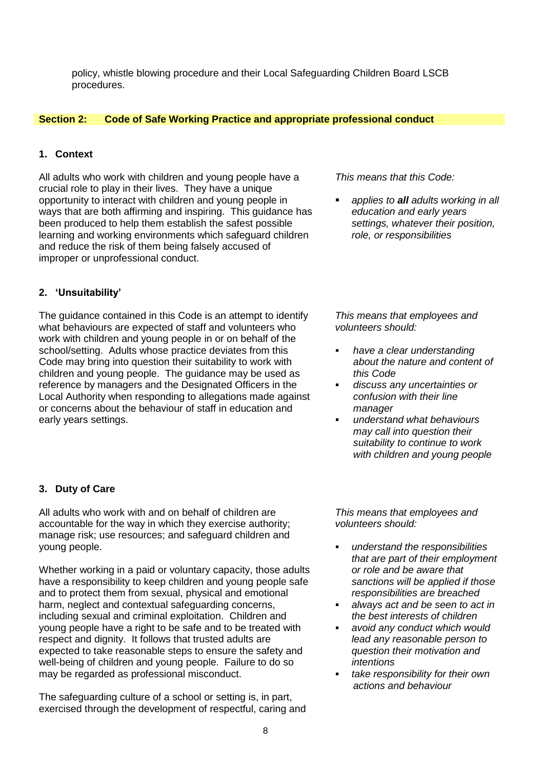policy, whistle blowing procedure and their Local Safeguarding Children Board LSCB procedures.

### **Section 2: Code of Safe Working Practice and appropriate professional conduct**

#### **1. Context**

All adults who work with children and young people have a crucial role to play in their lives. They have a unique opportunity to interact with children and young people in ways that are both affirming and inspiring. This guidance has been produced to help them establish the safest possible learning and working environments which safeguard children and reduce the risk of them being falsely accused of improper or unprofessional conduct.

#### **2. 'Unsuitability'**

The guidance contained in this Code is an attempt to identify what behaviours are expected of staff and volunteers who work with children and young people in or on behalf of the school/setting. Adults whose practice deviates from this Code may bring into question their suitability to work with children and young people. The guidance may be used as reference by managers and the Designated Officers in the Local Authority when responding to allegations made against or concerns about the behaviour of staff in education and early years settings.

#### *This means that this Code:*

 *applies to all adults working in all education and early years settings, whatever their position, role, or responsibilities*

*This means that employees and volunteers should:*

- *have a clear understanding about the nature and content of this Code*
- *discuss any uncertainties or confusion with their line manager*
- *understand what behaviours may call into question their suitability to continue to work with children and young people*

# **3. Duty of Care**

All adults who work with and on behalf of children are accountable for the way in which they exercise authority; manage risk; use resources; and safeguard children and young people.

Whether working in a paid or voluntary capacity, those adults have a responsibility to keep children and young people safe and to protect them from sexual, physical and emotional harm, neglect and contextual safeguarding concerns, including sexual and criminal exploitation. Children and young people have a right to be safe and to be treated with respect and dignity. It follows that trusted adults are expected to take reasonable steps to ensure the safety and well-being of children and young people. Failure to do so may be regarded as professional misconduct.

The safeguarding culture of a school or setting is, in part, exercised through the development of respectful, caring and

*This means that employees and volunteers should:*

- *understand the responsibilities that are part of their employment or role and be aware that sanctions will be applied if those responsibilities are breached*
- *always act and be seen to act in the best interests of children*
- *avoid any conduct which would lead any reasonable person to question their motivation and intentions*
- *take responsibility for their own actions and behaviour*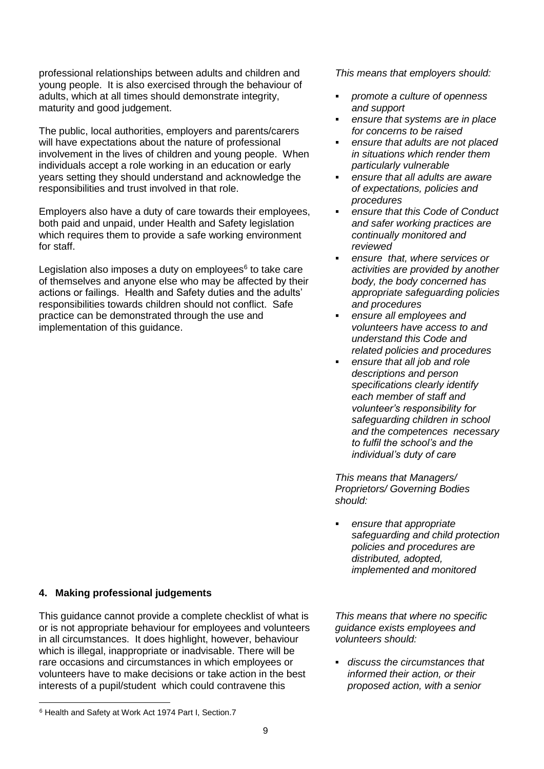professional relationships between adults and children and young people. It is also exercised through the behaviour of adults, which at all times should demonstrate integrity, maturity and good judgement.

The public, local authorities, employers and parents/carers will have expectations about the nature of professional involvement in the lives of children and young people. When individuals accept a role working in an education or early years setting they should understand and acknowledge the responsibilities and trust involved in that role.

Employers also have a duty of care towards their employees, both paid and unpaid, under Health and Safety legislation which requires them to provide a safe working environment for staff.

Legislation also imposes a duty on employees<sup>6</sup> to take care of themselves and anyone else who may be affected by their actions or failings. Health and Safety duties and the adults' responsibilities towards children should not conflict. Safe practice can be demonstrated through the use and implementation of this guidance.

*This means that employers should:*

- *promote a culture of openness and support*
- *ensure that systems are in place for concerns to be raised*
- *ensure that adults are not placed in situations which render them particularly vulnerable*
- *ensure that all adults are aware of expectations, policies and procedures*
- *ensure that this Code of Conduct and safer working practices are continually monitored and reviewed*
- *ensure that, where services or activities are provided by another body, the body concerned has appropriate safeguarding policies and procedures*
- *ensure all employees and volunteers have access to and understand this Code and related policies and procedures*
- *ensure that all job and role descriptions and person specifications clearly identify each member of staff and volunteer's responsibility for safeguarding children in school and the competences necessary to fulfil the school's and the individual's duty of care*

*This means that Managers/ Proprietors/ Governing Bodies should:* 

 *ensure that appropriate safeguarding and child protection policies and procedures are distributed, adopted, implemented and monitored* 

# **4. Making professional judgements**

This guidance cannot provide a complete checklist of what is or is not appropriate behaviour for employees and volunteers in all circumstances. It does highlight, however, behaviour which is illegal, inappropriate or inadvisable. There will be rare occasions and circumstances in which employees or volunteers have to make decisions or take action in the best interests of a pupil/student which could contravene this

*This means that where no specific guidance exists employees and volunteers should:*

 *discuss the circumstances that informed their action, or their proposed action, with a senior* 

l <sup>6</sup> Health and Safety at Work Act 1974 Part I, Section.7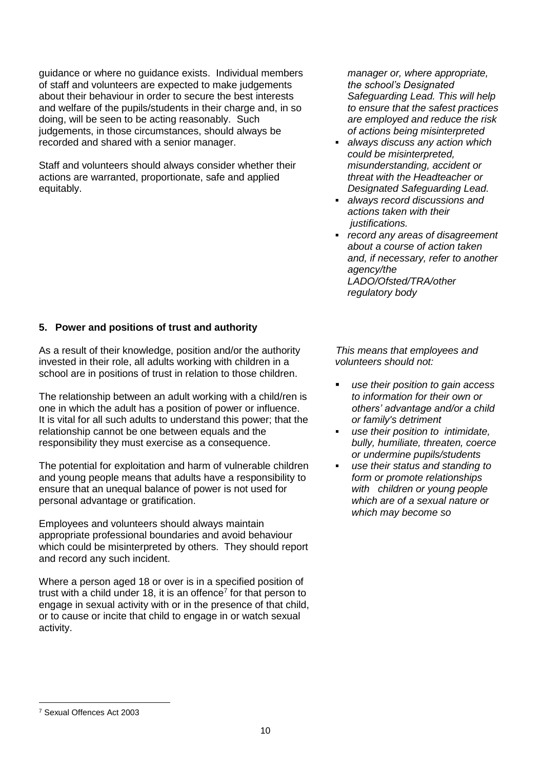guidance or where no guidance exists. Individual members of staff and volunteers are expected to make judgements about their behaviour in order to secure the best interests and welfare of the pupils/students in their charge and, in so doing, will be seen to be acting reasonably. Such judgements, in those circumstances, should always be recorded and shared with a senior manager.

Staff and volunteers should always consider whether their actions are warranted, proportionate, safe and applied equitably.

**5. Power and positions of trust and authority**

As a result of their knowledge, position and/or the authority invested in their role, all adults working with children in a school are in positions of trust in relation to those children.

The relationship between an adult working with a child/ren is one in which the adult has a position of power or influence. It is vital for all such adults to understand this power; that the relationship cannot be one between equals and the responsibility they must exercise as a consequence.

The potential for exploitation and harm of vulnerable children and young people means that adults have a responsibility to ensure that an unequal balance of power is not used for personal advantage or gratification.

Employees and volunteers should always maintain appropriate professional boundaries and avoid behaviour which could be misinterpreted by others. They should report and record any such incident.

Where a person aged 18 or over is in a specified position of trust with a child under 18, it is an offence<sup>7</sup> for that person to engage in sexual activity with or in the presence of that child, or to cause or incite that child to engage in or watch sexual activity.

*manager or, where appropriate, the school's Designated Safeguarding Lead. This will help to ensure that the safest practices are employed and reduce the risk of actions being misinterpreted* 

- *always discuss any action which could be misinterpreted, misunderstanding, accident or threat with the Headteacher or Designated Safeguarding Lead.*
- *always record discussions and actions taken with their justifications.*
- *record any areas of disagreement about a course of action taken and, if necessary, refer to another agency/the LADO/Ofsted/TRA/other regulatory body*

*This means that employees and volunteers should not:*

- *use their position to gain access to information for their own or others' advantage and/or a child or family's detriment*
- *use their position to intimidate, bully, humiliate, threaten, coerce or undermine pupils/students*
- *use their status and standing to form or promote relationships with children or young people which are of a sexual nature or which may become so*

l <sup>7</sup> Sexual Offences Act 2003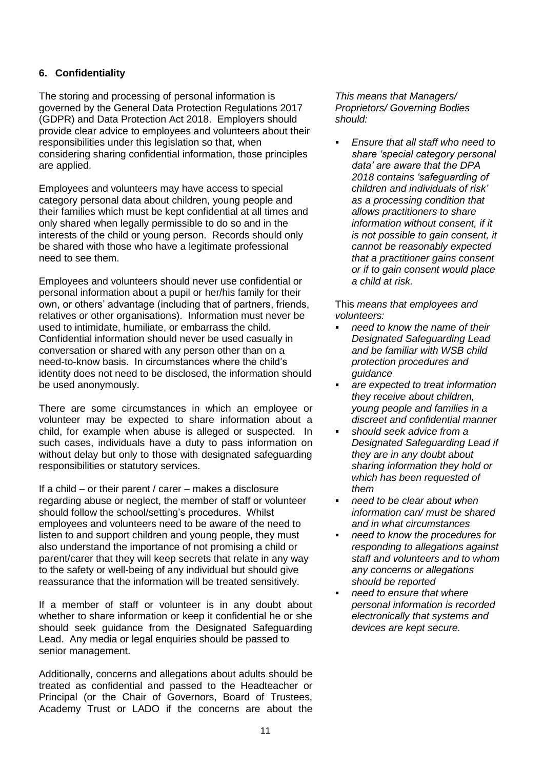# **6. Confidentiality**

The storing and processing of personal information is governed by the General Data Protection Regulations 2017 (GDPR) and Data Protection Act 2018. Employers should provide clear advice to employees and volunteers about their responsibilities under this legislation so that, when considering sharing confidential information, those principles are applied.

Employees and volunteers may have access to special category personal data about children, young people and their families which must be kept confidential at all times and only shared when legally permissible to do so and in the interests of the child or young person. Records should only be shared with those who have a legitimate professional need to see them.

Employees and volunteers should never use confidential or personal information about a pupil or her/his family for their own, or others' advantage (including that of partners, friends, relatives or other organisations). Information must never be used to intimidate, humiliate, or embarrass the child. Confidential information should never be used casually in conversation or shared with any person other than on a need-to-know basis. In circumstances where the child's identity does not need to be disclosed, the information should be used anonymously.

There are some circumstances in which an employee or volunteer may be expected to share information about a child, for example when abuse is alleged or suspected. In such cases, individuals have a duty to pass information on without delay but only to those with designated safeguarding responsibilities or statutory services.

If a child – or their parent / carer – makes a disclosure regarding abuse or neglect, the member of staff or volunteer should follow the school/setting's procedures. Whilst employees and volunteers need to be aware of the need to listen to and support children and young people, they must also understand the importance of not promising a child or parent/carer that they will keep secrets that relate in any way to the safety or well-being of any individual but should give reassurance that the information will be treated sensitively.

If a member of staff or volunteer is in any doubt about whether to share information or keep it confidential he or she should seek guidance from the Designated Safeguarding Lead. Any media or legal enquiries should be passed to senior management.

Additionally, concerns and allegations about adults should be treated as confidential and passed to the Headteacher or Principal (or the Chair of Governors, Board of Trustees, Academy Trust or LADO if the concerns are about the

*This means that Managers/ Proprietors/ Governing Bodies should:*

 *Ensure that all staff who need to share 'special category personal data' are aware that the DPA 2018 contains 'safeguarding of children and individuals of risk' as a processing condition that allows practitioners to share information without consent, if it is not possible to gain consent, it cannot be reasonably expected that a practitioner gains consent or if to gain consent would place a child at risk.*

This *means that employees and volunteers:*

- *need to know the name of their Designated Safeguarding Lead and be familiar with WSB child protection procedures and guidance*
- *are expected to treat information they receive about children, young people and families in a discreet and confidential manner*
- *should seek advice from a Designated Safeguarding Lead if they are in any doubt about sharing information they hold or which has been requested of them*
- *need to be clear about when information can/ must be shared and in what circumstances*
- *need to know the procedures for responding to allegations against staff and volunteers and to whom any concerns or allegations should be reported*
- *need to ensure that where personal information is recorded electronically that systems and devices are kept secure.*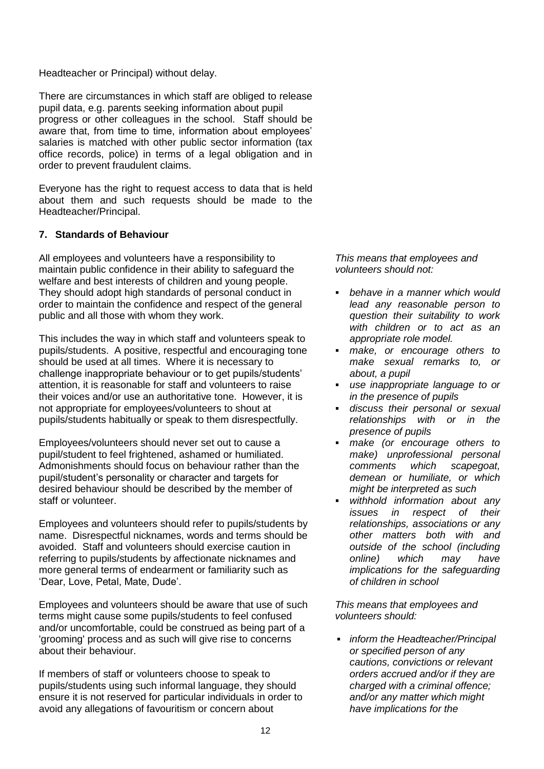### Headteacher or Principal) without delay.

There are circumstances in which staff are obliged to release pupil data, e.g. parents seeking information about pupil progress or other colleagues in the school. Staff should be aware that, from time to time, information about employees' salaries is matched with other public sector information (tax office records, police) in terms of a legal obligation and in order to prevent fraudulent claims.

Everyone has the right to request access to data that is held about them and such requests should be made to the Headteacher/Principal.

# **7. Standards of Behaviour**

All employees and volunteers have a responsibility to maintain public confidence in their ability to safeguard the welfare and best interests of children and young people. They should adopt high standards of personal conduct in order to maintain the confidence and respect of the general public and all those with whom they work.

This includes the way in which staff and volunteers speak to pupils/students. A positive, respectful and encouraging tone should be used at all times. Where it is necessary to challenge inappropriate behaviour or to get pupils/students' attention, it is reasonable for staff and volunteers to raise their voices and/or use an authoritative tone. However, it is not appropriate for employees/volunteers to shout at pupils/students habitually or speak to them disrespectfully.

Employees/volunteers should never set out to cause a pupil/student to feel frightened, ashamed or humiliated. Admonishments should focus on behaviour rather than the pupil/student's personality or character and targets for desired behaviour should be described by the member of staff or volunteer.

Employees and volunteers should refer to pupils/students by name. Disrespectful nicknames, words and terms should be avoided. Staff and volunteers should exercise caution in referring to pupils/students by affectionate nicknames and more general terms of endearment or familiarity such as 'Dear, Love, Petal, Mate, Dude'.

Employees and volunteers should be aware that use of such terms might cause some pupils/students to feel confused and/or uncomfortable, could be construed as being part of a 'grooming' process and as such will give rise to concerns about their behaviour.

If members of staff or volunteers choose to speak to pupils/students using such informal language, they should ensure it is not reserved for particular individuals in order to avoid any allegations of favouritism or concern about

*This means that employees and volunteers should not:*

- *behave in a manner which would lead any reasonable person to question their suitability to work with children or to act as an appropriate role model.*
- *make, or encourage others to make sexual remarks to, or about, a pupil*
- *use inappropriate language to or in the presence of pupils*
- *discuss their personal or sexual relationships with or in the presence of pupils*
- *make (or encourage others to make) unprofessional personal comments which scapegoat, demean or humiliate, or which might be interpreted as such*
- *withhold information about any issues in respect of their relationships, associations or any other matters both with and outside of the school (including online) which may have implications for the safeguarding of children in school*

*This means that employees and volunteers should:* 

 *inform the Headteacher/Principal or specified person of any cautions, convictions or relevant orders accrued and/or if they are charged with a criminal offence; and/or any matter which might have implications for the*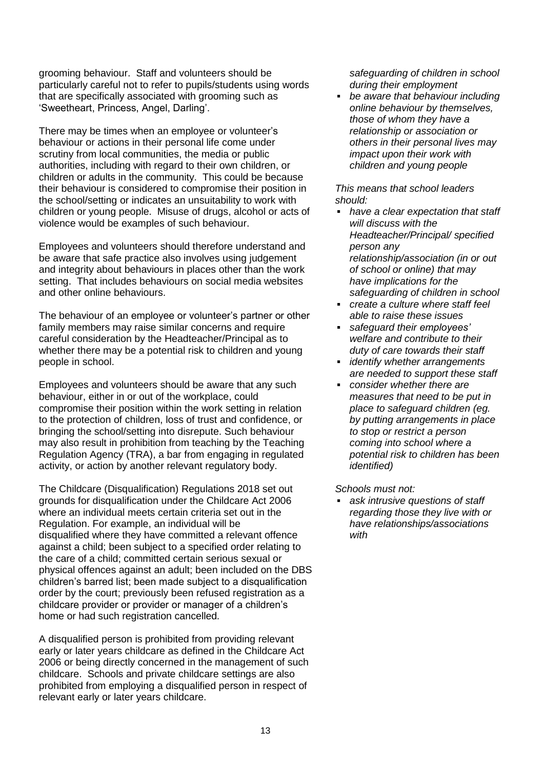grooming behaviour. Staff and volunteers should be particularly careful not to refer to pupils/students using words that are specifically associated with grooming such as 'Sweetheart, Princess, Angel, Darling'.

There may be times when an employee or volunteer's behaviour or actions in their personal life come under scrutiny from local communities, the media or public authorities, including with regard to their own children, or children or adults in the community. This could be because their behaviour is considered to compromise their position in the school/setting or indicates an unsuitability to work with children or young people. Misuse of drugs, alcohol or acts of violence would be examples of such behaviour.

Employees and volunteers should therefore understand and be aware that safe practice also involves using judgement and integrity about behaviours in places other than the work setting. That includes behaviours on social media websites and other online behaviours.

The behaviour of an employee or volunteer's partner or other family members may raise similar concerns and require careful consideration by the Headteacher/Principal as to whether there may be a potential risk to children and young people in school.

Employees and volunteers should be aware that any such behaviour, either in or out of the workplace, could compromise their position within the work setting in relation to the protection of children, loss of trust and confidence, or bringing the school/setting into disrepute. Such behaviour may also result in prohibition from teaching by the Teaching Regulation Agency (TRA), a bar from engaging in regulated activity, or action by another relevant regulatory body.

The Childcare (Disqualification) Regulations 2018 set out grounds for disqualification under the Childcare Act 2006 where an individual meets certain criteria set out in the Regulation. For example, an individual will be disqualified where they have committed a relevant offence against a child; been subject to a specified order relating to the care of a child; committed certain serious sexual or physical offences against an adult; been included on the DBS children's barred list; been made subject to a disqualification order by the court; previously been refused registration as a childcare provider or provider or manager of a children's home or had such registration cancelled*.*

A disqualified person is prohibited from providing relevant early or later years childcare as defined in the Childcare Act 2006 or being directly concerned in the management of such childcare. Schools and private childcare settings are also prohibited from employing a disqualified person in respect of relevant early or later years childcare.

*safeguarding of children in school during their employment*

 *be aware that behaviour including online behaviour by themselves, those of whom they have a relationship or association or others in their personal lives may impact upon their work with children and young people*

*This means that school leaders should:*

- *have a clear expectation that staff will discuss with the Headteacher/Principal/ specified person any relationship/association (in or out of school or online) that may have implications for the safeguarding of children in school*
- *create a culture where staff feel able to raise these issues*
- *safeguard their employees' welfare and contribute to their duty of care towards their staff*
- *identify whether arrangements are needed to support these staff*
- *consider whether there are measures that need to be put in place to safeguard children (eg. by putting arrangements in place to stop or restrict a person coming into school where a potential risk to children has been identified)*

*Schools must not:*

 *ask intrusive questions of staff regarding those they live with or have relationships/associations with*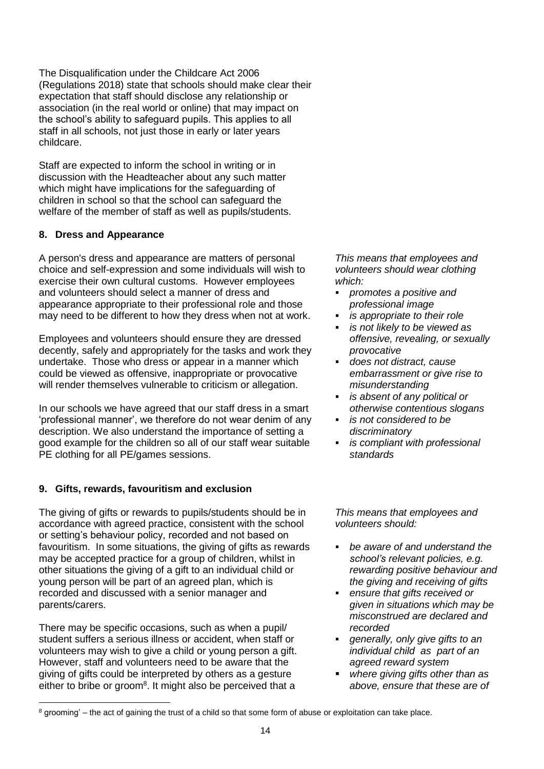The Disqualification under the Childcare Act 2006 (Regulations 2018) state that schools should make clear their expectation that staff should disclose any relationship or association (in the real world or online) that may impact on the school's ability to safeguard pupils. This applies to all staff in all schools, not just those in early or later years childcare.

Staff are expected to inform the school in writing or in discussion with the Headteacher about any such matter which might have implications for the safeguarding of children in school so that the school can safeguard the welfare of the member of staff as well as pupils/students.

# **8. Dress and Appearance**

A person's dress and appearance are matters of personal choice and self-expression and some individuals will wish to exercise their own cultural customs. However employees and volunteers should select a manner of dress and appearance appropriate to their professional role and those may need to be different to how they dress when not at work.

Employees and volunteers should ensure they are dressed decently, safely and appropriately for the tasks and work they undertake. Those who dress or appear in a manner which could be viewed as offensive, inappropriate or provocative will render themselves vulnerable to criticism or allegation.

In our schools we have agreed that our staff dress in a smart 'professional manner', we therefore do not wear denim of any description. We also understand the importance of setting a good example for the children so all of our staff wear suitable PE clothing for all PE/games sessions.

# **9. Gifts, rewards, favouritism and exclusion**

The giving of gifts or rewards to pupils/students should be in accordance with agreed practice, consistent with the school or setting's behaviour policy, recorded and not based on favouritism. In some situations, the giving of gifts as rewards may be accepted practice for a group of children, whilst in other situations the giving of a gift to an individual child or young person will be part of an agreed plan, which is recorded and discussed with a senior manager and parents/carers.

There may be specific occasions, such as when a pupil/ student suffers a serious illness or accident, when staff or volunteers may wish to give a child or young person a gift. However, staff and volunteers need to be aware that the giving of gifts could be interpreted by others as a gesture either to bribe or groom<sup>8</sup>. It might also be perceived that a

l

*This means that employees and volunteers should wear clothing which:*

- *promotes a positive and professional image*
- *is appropriate to their role*
- *is not likely to be viewed as offensive, revealing, or sexually provocative*
- *does not distract, cause embarrassment or give rise to misunderstanding*
- *is absent of any political or otherwise contentious slogans*
- *is not considered to be discriminatory*
- *is compliant with professional standards*

*This means that employees and volunteers should:* 

- *be aware of and understand the school's relevant policies, e.g. rewarding positive behaviour and the giving and receiving of gifts*
- *ensure that gifts received or given in situations which may be misconstrued are declared and recorded*
- *generally, only give gifts to an individual child as part of an agreed reward system*
- *where giving gifts other than as above, ensure that these are of*

 $8$  grooming' – the act of gaining the trust of a child so that some form of abuse or exploitation can take place.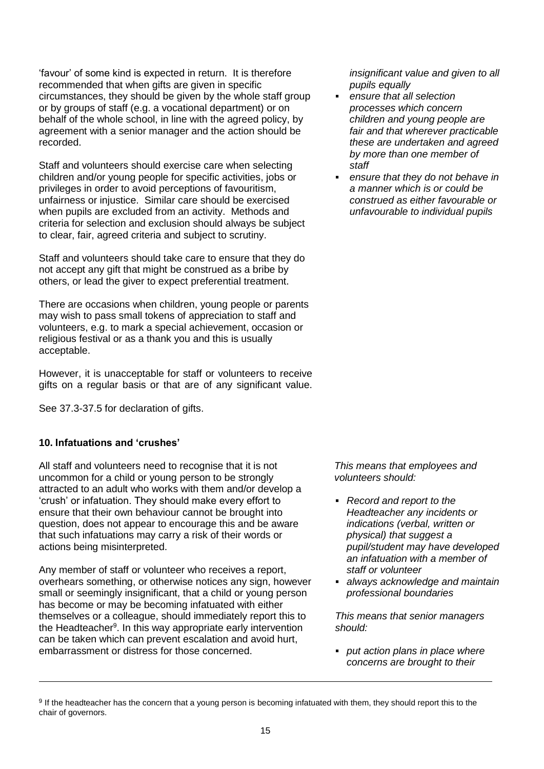'favour' of some kind is expected in return. It is therefore recommended that when gifts are given in specific circumstances, they should be given by the whole staff group or by groups of staff (e.g. a vocational department) or on behalf of the whole school, in line with the agreed policy, by agreement with a senior manager and the action should be recorded.

Staff and volunteers should exercise care when selecting children and/or young people for specific activities, jobs or privileges in order to avoid perceptions of favouritism, unfairness or injustice. Similar care should be exercised when pupils are excluded from an activity. Methods and criteria for selection and exclusion should always be subject to clear, fair, agreed criteria and subject to scrutiny.

Staff and volunteers should take care to ensure that they do not accept any gift that might be construed as a bribe by others, or lead the giver to expect preferential treatment.

There are occasions when children, young people or parents may wish to pass small tokens of appreciation to staff and volunteers, e.g. to mark a special achievement, occasion or religious festival or as a thank you and this is usually acceptable.

However, it is unacceptable for staff or volunteers to receive gifts on a regular basis or that are of any significant value.

See 37.3-37.5 for declaration of gifts.

# **10. Infatuations and 'crushes'**

l

All staff and volunteers need to recognise that it is not uncommon for a child or young person to be strongly attracted to an adult who works with them and/or develop a 'crush' or infatuation. They should make every effort to ensure that their own behaviour cannot be brought into question, does not appear to encourage this and be aware that such infatuations may carry a risk of their words or actions being misinterpreted.

Any member of staff or volunteer who receives a report, overhears something, or otherwise notices any sign, however small or seemingly insignificant, that a child or young person has become or may be becoming infatuated with either themselves or a colleague, should immediately report this to the Headteacher<sup>9</sup>. In this way appropriate early intervention can be taken which can prevent escalation and avoid hurt, embarrassment or distress for those concerned.

*insignificant value and given to all pupils equally* 

- *ensure that all selection processes which concern children and young people are fair and that wherever practicable these are undertaken and agreed by more than one member of staff*
- *ensure that they do not behave in a manner which is or could be construed as either favourable or unfavourable to individual pupils*

*This means that employees and volunteers should:*

- *Record and report to the Headteacher any incidents or indications (verbal, written or physical) that suggest a pupil/student may have developed an infatuation with a member of staff or volunteer*
- *always acknowledge and maintain professional boundaries*

*This means that senior managers should:* 

 *put action plans in place where concerns are brought to their* 

<sup>&</sup>lt;sup>9</sup> If the headteacher has the concern that a young person is becoming infatuated with them, they should report this to the chair of governors.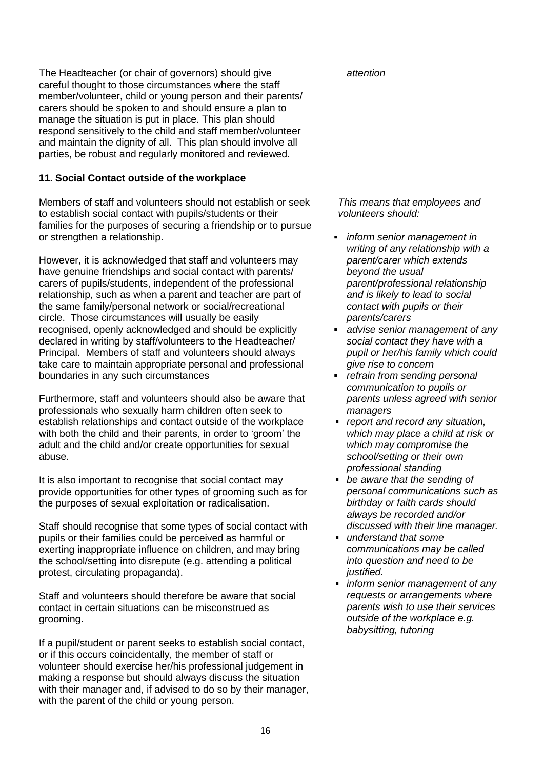The Headteacher (or chair of governors) should give careful thought to those circumstances where the staff member/volunteer, child or young person and their parents/ carers should be spoken to and should ensure a plan to manage the situation is put in place. This plan should respond sensitively to the child and staff member/volunteer and maintain the dignity of all. This plan should involve all parties, be robust and regularly monitored and reviewed.

# **11. Social Contact outside of the workplace**

Members of staff and volunteers should not establish or seek to establish social contact with pupils/students or their families for the purposes of securing a friendship or to pursue or strengthen a relationship.

However, it is acknowledged that staff and volunteers may have genuine friendships and social contact with parents/ carers of pupils/students, independent of the professional relationship, such as when a parent and teacher are part of the same family/personal network or social/recreational circle. Those circumstances will usually be easily recognised, openly acknowledged and should be explicitly declared in writing by staff/volunteers to the Headteacher/ Principal. Members of staff and volunteers should always take care to maintain appropriate personal and professional boundaries in any such circumstances

Furthermore, staff and volunteers should also be aware that professionals who sexually harm children often seek to establish relationships and contact outside of the workplace with both the child and their parents, in order to 'groom' the adult and the child and/or create opportunities for sexual abuse.

It is also important to recognise that social contact may provide opportunities for other types of grooming such as for the purposes of sexual exploitation or radicalisation.

Staff should recognise that some types of social contact with pupils or their families could be perceived as harmful or exerting inappropriate influence on children, and may bring the school/setting into disrepute (e.g. attending a political protest, circulating propaganda).

Staff and volunteers should therefore be aware that social contact in certain situations can be misconstrued as grooming.

If a pupil/student or parent seeks to establish social contact, or if this occurs coincidentally, the member of staff or volunteer should exercise her/his professional judgement in making a response but should always discuss the situation with their manager and, if advised to do so by their manager, with the parent of the child or young person.

*attention* 

*This means that employees and volunteers should:*

- *inform senior management in writing of any relationship with a parent/carer which extends beyond the usual parent/professional relationship and is likely to lead to social contact with pupils or their parents/carers*
- *advise senior management of any social contact they have with a pupil or her/his family which could give rise to concern*
- *refrain from sending personal communication to pupils or parents unless agreed with senior managers*
- *report and record any situation, which may place a child at risk or which may compromise the school/setting or their own professional standing*
- *be aware that the sending of personal communications such as birthday or faith cards should always be recorded and/or discussed with their line manager.*
- *understand that some communications may be called into question and need to be justified.*
- *inform senior management of any requests or arrangements where parents wish to use their services outside of the workplace e.g. babysitting, tutoring*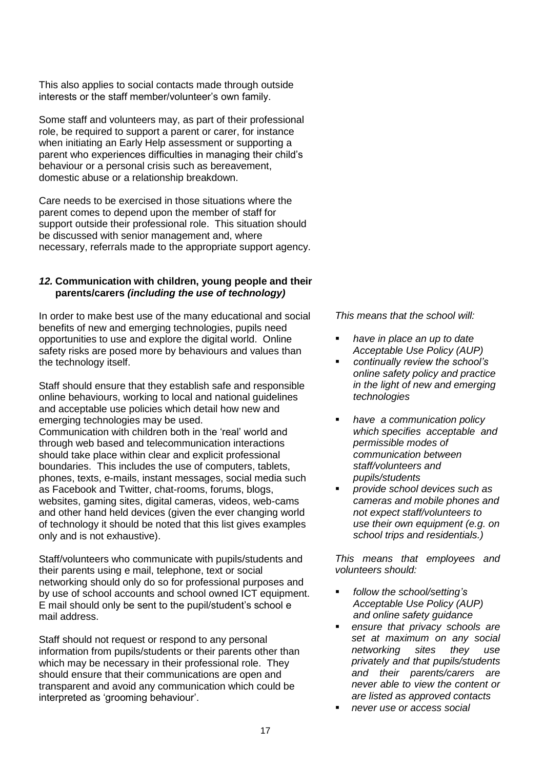This also applies to social contacts made through outside interests or the staff member/volunteer's own family.

Some staff and volunteers may, as part of their professional role, be required to support a parent or carer, for instance when initiating an Early Help assessment or supporting a parent who experiences difficulties in managing their child's behaviour or a personal crisis such as bereavement, domestic abuse or a relationship breakdown.

Care needs to be exercised in those situations where the parent comes to depend upon the member of staff for support outside their professional role. This situation should be discussed with senior management and, where necessary, referrals made to the appropriate support agency.

### *12.* **Communication with children, young people and their parents/carers** *(including the use of technology)*

In order to make best use of the many educational and social benefits of new and emerging technologies, pupils need opportunities to use and explore the digital world. Online safety risks are posed more by behaviours and values than the technology itself.

Staff should ensure that they establish safe and responsible online behaviours, working to local and national guidelines and acceptable use policies which detail how new and emerging technologies may be used.

Communication with children both in the 'real' world and through web based and telecommunication interactions should take place within clear and explicit professional boundaries. This includes the use of computers, tablets, phones, texts, e-mails, instant messages, social media such as Facebook and Twitter, chat-rooms, forums, blogs, websites, gaming sites, digital cameras, videos, web-cams and other hand held devices (given the ever changing world of technology it should be noted that this list gives examples only and is not exhaustive).

Staff/volunteers who communicate with pupils/students and their parents using e mail, telephone, text or social networking should only do so for professional purposes and by use of school accounts and school owned ICT equipment. E mail should only be sent to the pupil/student's school e mail address.

Staff should not request or respond to any personal information from pupils/students or their parents other than which may be necessary in their professional role. They should ensure that their communications are open and transparent and avoid any communication which could be interpreted as 'grooming behaviour'.

*This means that the school will:*

- *have in place an up to date Acceptable Use Policy (AUP)*
- *continually review the school's online safety policy and practice in the light of new and emerging technologies*
- *have a communication policy which specifies acceptable and permissible modes of communication between staff/volunteers and pupils/students*
- *provide school devices such as cameras and mobile phones and not expect staff/volunteers to use their own equipment (e.g. on school trips and residentials.)*

*This means that employees and volunteers should:*

- *follow the school/setting's Acceptable Use Policy (AUP) and online safety guidance*
- *ensure that privacy schools are set at maximum on any social networking sites they use privately and that pupils/students and their parents/carers are never able to view the content or are listed as approved contacts*
- *never use or access social*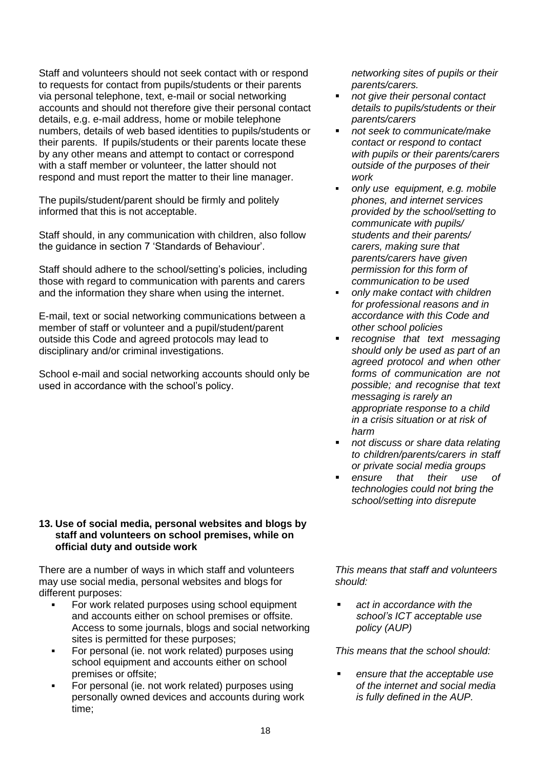Staff and volunteers should not seek contact with or respond to requests for contact from pupils/students or their parents via personal telephone, text, e-mail or social networking accounts and should not therefore give their personal contact details, e.g. e-mail address, home or mobile telephone numbers, details of web based identities to pupils/students or their parents. If pupils/students or their parents locate these by any other means and attempt to contact or correspond with a staff member or volunteer, the latter should not respond and must report the matter to their line manager.

The pupils/student/parent should be firmly and politely informed that this is not acceptable.

Staff should, in any communication with children, also follow the guidance in section 7 'Standards of Behaviour'.

Staff should adhere to the school/setting's policies, including those with regard to communication with parents and carers and the information they share when using the internet.

E-mail, text or social networking communications between a member of staff or volunteer and a pupil/student/parent outside this Code and agreed protocols may lead to disciplinary and/or criminal investigations.

School e-mail and social networking accounts should only be used in accordance with the school's policy.

# **13. Use of social media, personal websites and blogs by staff and volunteers on school premises, while on official duty and outside work**

There are a number of ways in which staff and volunteers may use social media, personal websites and blogs for different purposes:

- For work related purposes using school equipment and accounts either on school premises or offsite. Access to some journals, blogs and social networking sites is permitted for these purposes;
- For personal (ie. not work related) purposes using school equipment and accounts either on school premises or offsite;
- For personal (ie. not work related) purposes using personally owned devices and accounts during work time;

*networking sites of pupils or their parents/carers.*

- *not give their personal contact details to pupils/students or their parents/carers*
- *not seek to communicate/make contact or respond to contact with pupils or their parents/carers outside of the purposes of their work*
- *only use equipment, e.g. mobile phones, and internet services provided by the school/setting to communicate with pupils/ students and their parents/ carers, making sure that parents/carers have given permission for this form of communication to be used*
- *only make contact with children for professional reasons and in accordance with this Code and other school policies*
- *recognise that text messaging should only be used as part of an agreed protocol and when other forms of communication are not possible; and recognise that text messaging is rarely an appropriate response to a child in a crisis situation or at risk of harm*
- *not discuss or share data relating to children/parents/carers in staff*
- *or private social media groups ensure that their use of technologies could not bring the school/setting into disrepute*

*This means that staff and volunteers should:*

 *act in accordance with the school's ICT acceptable use policy (AUP)*

*This means that the school should:*

 *ensure that the acceptable use of the internet and social media is fully defined in the AUP.*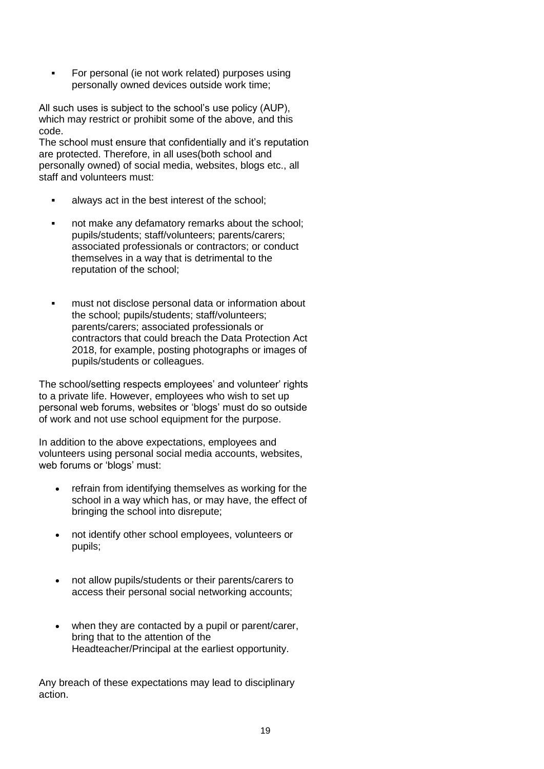For personal (ie not work related) purposes using personally owned devices outside work time;

All such uses is subject to the school's use policy (AUP), which may restrict or prohibit some of the above, and this code.

The school must ensure that confidentially and it's reputation are protected. Therefore, in all uses(both school and personally owned) of social media, websites, blogs etc., all staff and volunteers must:

- always act in the best interest of the school;
- not make any defamatory remarks about the school; pupils/students; staff/volunteers; parents/carers; associated professionals or contractors; or conduct themselves in a way that is detrimental to the reputation of the school;
- must not disclose personal data or information about the school; pupils/students; staff/volunteers; parents/carers; associated professionals or contractors that could breach the Data Protection Act 2018, for example, posting photographs or images of pupils/students or colleagues.

The school/setting respects employees' and volunteer' rights to a private life. However, employees who wish to set up personal web forums, websites or 'blogs' must do so outside of work and not use school equipment for the purpose.

In addition to the above expectations, employees and volunteers using personal social media accounts, websites, web forums or 'blogs' must:

- refrain from identifying themselves as working for the school in a way which has, or may have, the effect of bringing the school into disrepute;
- not identify other school employees, volunteers or pupils;
- not allow pupils/students or their parents/carers to access their personal social networking accounts;
- when they are contacted by a pupil or parent/carer, bring that to the attention of the Headteacher/Principal at the earliest opportunity.

Any breach of these expectations may lead to disciplinary action.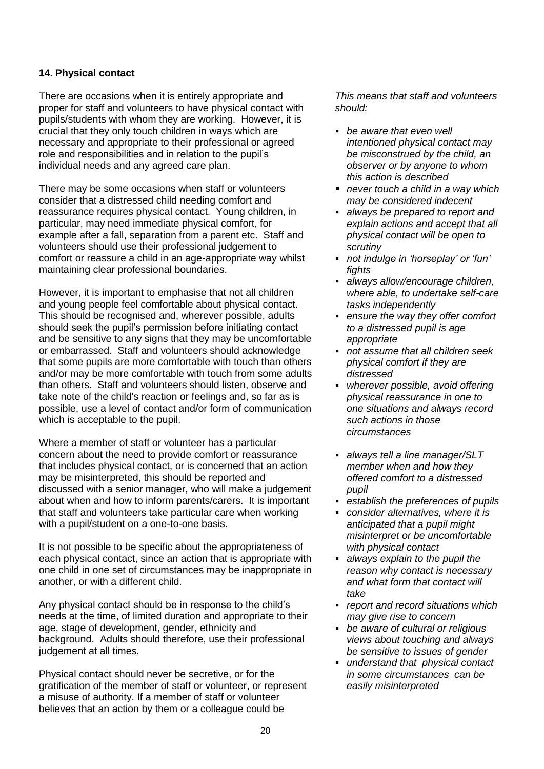# **14. Physical contact**

There are occasions when it is entirely appropriate and proper for staff and volunteers to have physical contact with pupils/students with whom they are working. However, it is crucial that they only touch children in ways which are necessary and appropriate to their professional or agreed role and responsibilities and in relation to the pupil's individual needs and any agreed care plan.

There may be some occasions when staff or volunteers consider that a distressed child needing comfort and reassurance requires physical contact. Young children, in particular, may need immediate physical comfort, for example after a fall, separation from a parent etc. Staff and volunteers should use their professional judgement to comfort or reassure a child in an age-appropriate way whilst maintaining clear professional boundaries.

However, it is important to emphasise that not all children and young people feel comfortable about physical contact. This should be recognised and, wherever possible, adults should seek the pupil's permission before initiating contact and be sensitive to any signs that they may be uncomfortable or embarrassed. Staff and volunteers should acknowledge that some pupils are more comfortable with touch than others and/or may be more comfortable with touch from some adults than others. Staff and volunteers should listen, observe and take note of the child's reaction or feelings and, so far as is possible, use a level of contact and/or form of communication which is acceptable to the pupil.

Where a member of staff or volunteer has a particular concern about the need to provide comfort or reassurance that includes physical contact, or is concerned that an action may be misinterpreted, this should be reported and discussed with a senior manager, who will make a judgement about when and how to inform parents/carers. It is important that staff and volunteers take particular care when working with a pupil/student on a one-to-one basis.

It is not possible to be specific about the appropriateness of each physical contact, since an action that is appropriate with one child in one set of circumstances may be inappropriate in another, or with a different child.

Any physical contact should be in response to the child's needs at the time, of limited duration and appropriate to their age, stage of development, gender, ethnicity and background. Adults should therefore, use their professional judgement at all times.

Physical contact should never be secretive, or for the gratification of the member of staff or volunteer, or represent a misuse of authority. If a member of staff or volunteer believes that an action by them or a colleague could be

- *be aware that even well intentioned physical contact may be misconstrued by the child, an observer or by anyone to whom this action is described*
- *never touch a child in a way which may be considered indecent*
- *always be prepared to report and explain actions and accept that all physical contact will be open to scrutiny*
- *not indulge in 'horseplay' or 'fun' fights*
- *always allow/encourage children, where able, to undertake self-care tasks independently*
- *ensure the way they offer comfort to a distressed pupil is age appropriate*
- *not assume that all children seek physical comfort if they are distressed*
- *wherever possible, avoid offering physical reassurance in one to one situations and always record such actions in those circumstances*
- *always tell a line manager/SLT member when and how they offered comfort to a distressed pupil*
- *establish the preferences of pupils*
- *consider alternatives, where it is anticipated that a pupil might misinterpret or be uncomfortable with physical contact*
- *always explain to the pupil the reason why contact is necessary and what form that contact will take*
- *report and record situations which may give rise to concern*
- *be aware of cultural or religious views about touching and always be sensitive to issues of gender*
- *understand that physical contact in some circumstances can be easily misinterpreted*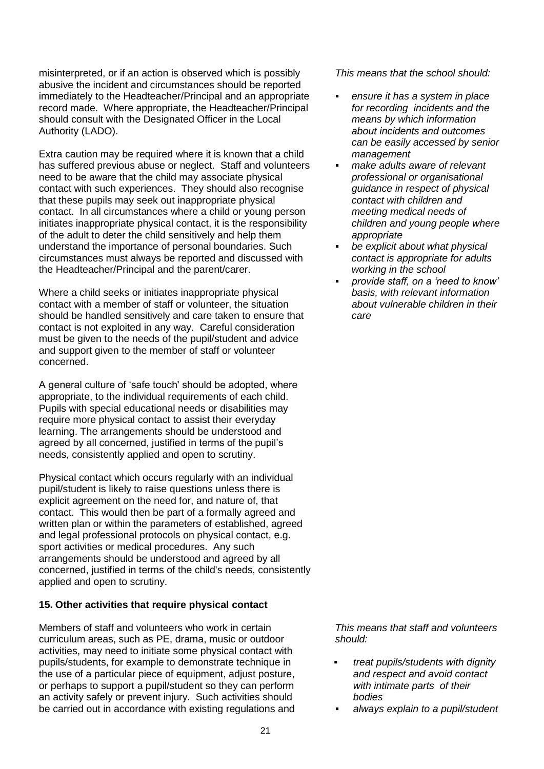misinterpreted, or if an action is observed which is possibly abusive the incident and circumstances should be reported immediately to the Headteacher/Principal and an appropriate record made. Where appropriate, the Headteacher/Principal should consult with the Designated Officer in the Local Authority (LADO).

Extra caution may be required where it is known that a child has suffered previous abuse or neglect. Staff and volunteers need to be aware that the child may associate physical contact with such experiences. They should also recognise that these pupils may seek out inappropriate physical contact. In all circumstances where a child or young person initiates inappropriate physical contact, it is the responsibility of the adult to deter the child sensitively and help them understand the importance of personal boundaries. Such circumstances must always be reported and discussed with the Headteacher/Principal and the parent/carer.

Where a child seeks or initiates inappropriate physical contact with a member of staff or volunteer, the situation should be handled sensitively and care taken to ensure that contact is not exploited in any way. Careful consideration must be given to the needs of the pupil/student and advice and support given to the member of staff or volunteer concerned.

A general culture of 'safe touch' should be adopted, where appropriate, to the individual requirements of each child. Pupils with special educational needs or disabilities may require more physical contact to assist their everyday learning. The arrangements should be understood and agreed by all concerned, justified in terms of the pupil's needs, consistently applied and open to scrutiny.

Physical contact which occurs regularly with an individual pupil/student is likely to raise questions unless there is explicit agreement on the need for, and nature of, that contact. This would then be part of a formally agreed and written plan or within the parameters of established, agreed and legal professional protocols on physical contact, e.g. sport activities or medical procedures. Any such arrangements should be understood and agreed by all concerned, justified in terms of the child's needs, consistently applied and open to scrutiny.

# **15. Other activities that require physical contact**

Members of staff and volunteers who work in certain curriculum areas, such as PE, drama, music or outdoor activities, may need to initiate some physical contact with pupils/students, for example to demonstrate technique in the use of a particular piece of equipment, adjust posture, or perhaps to support a pupil/student so they can perform an activity safely or prevent injury. Such activities should be carried out in accordance with existing regulations and *This means that the school should:*

- *ensure it has a system in place for recording incidents and the means by which information about incidents and outcomes can be easily accessed by senior management*
- *make adults aware of relevant professional or organisational guidance in respect of physical contact with children and meeting medical needs of children and young people where appropriate*
- *be explicit about what physical contact is appropriate for adults working in the school*
- *provide staff, on a 'need to know' basis, with relevant information about vulnerable children in their care*

- *treat pupils/students with dignity and respect and avoid contact with intimate parts of their bodies*
- *always explain to a pupil/student*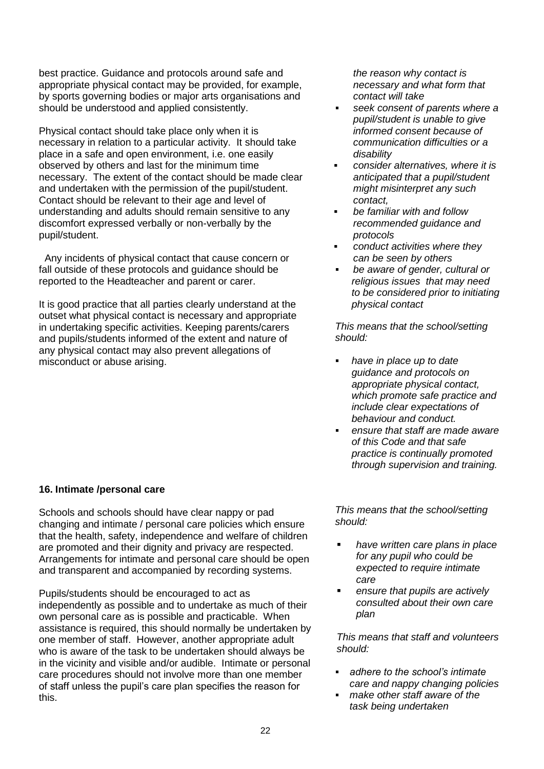best practice. Guidance and protocols around safe and appropriate physical contact may be provided, for example, by sports governing bodies or major arts organisations and should be understood and applied consistently.

Physical contact should take place only when it is necessary in relation to a particular activity. It should take place in a safe and open environment, i.e. one easily observed by others and last for the minimum time necessary. The extent of the contact should be made clear and undertaken with the permission of the pupil/student. Contact should be relevant to their age and level of understanding and adults should remain sensitive to any discomfort expressed verbally or non-verbally by the pupil/student.

 Any incidents of physical contact that cause concern or fall outside of these protocols and guidance should be reported to the Headteacher and parent or carer.

It is good practice that all parties clearly understand at the outset what physical contact is necessary and appropriate in undertaking specific activities. Keeping parents/carers and pupils/students informed of the extent and nature of any physical contact may also prevent allegations of misconduct or abuse arising.

*contact will take seek consent of parents where a* 

*the reason why contact is necessary and what form that* 

- *pupil/student is unable to give informed consent because of communication difficulties or a disability*
- *consider alternatives, where it is anticipated that a pupil/student might misinterpret any such contact,*
- *be familiar with and follow recommended guidance and protocols*
- *conduct activities where they can be seen by others*
- *be aware of gender, cultural or religious issues that may need to be considered prior to initiating physical contact*

*This means that the school/setting should:*

- *have in place up to date guidance and protocols on appropriate physical contact, which promote safe practice and include clear expectations of behaviour and conduct.*
- *ensure that staff are made aware of this Code and that safe practice is continually promoted through supervision and training.*

# **16. Intimate /personal care**

Schools and schools should have clear nappy or pad changing and intimate / personal care policies which ensure that the health, safety, independence and welfare of children are promoted and their dignity and privacy are respected. Arrangements for intimate and personal care should be open and transparent and accompanied by recording systems.

Pupils/students should be encouraged to act as independently as possible and to undertake as much of their own personal care as is possible and practicable. When assistance is required, this should normally be undertaken by one member of staff. However, another appropriate adult who is aware of the task to be undertaken should always be in the vicinity and visible and/or audible. Intimate or personal care procedures should not involve more than one member of staff unless the pupil's care plan specifies the reason for this.

*This means that the school/setting should:* 

- *have written care plans in place for any pupil who could be expected to require intimate care*
- *ensure that pupils are actively consulted about their own care plan*

- *adhere to the school's intimate care and nappy changing policies*
- *make other staff aware of the task being undertaken*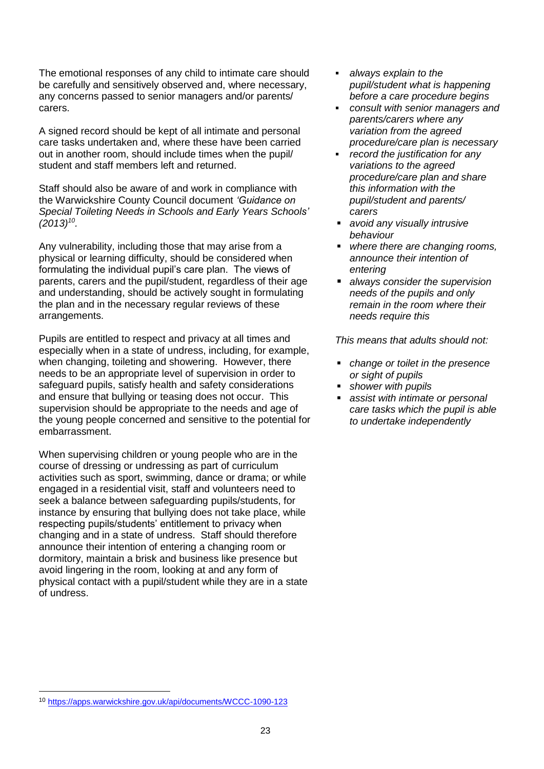The emotional responses of any child to intimate care should be carefully and sensitively observed and, where necessary, any concerns passed to senior managers and/or parents/ carers.

A signed record should be kept of all intimate and personal care tasks undertaken and, where these have been carried out in another room, should include times when the pupil/ student and staff members left and returned.

Staff should also be aware of and work in compliance with the Warwickshire County Council document *'Guidance on Special Toileting Needs in Schools and Early Years Schools' (2013)<sup>10</sup> .*

Any vulnerability, including those that may arise from a physical or learning difficulty, should be considered when formulating the individual pupil's care plan. The views of parents, carers and the pupil/student, regardless of their age and understanding, should be actively sought in formulating the plan and in the necessary regular reviews of these arrangements.

Pupils are entitled to respect and privacy at all times and especially when in a state of undress, including, for example, when changing, toileting and showering. However, there needs to be an appropriate level of supervision in order to safeguard pupils, satisfy health and safety considerations and ensure that bullying or teasing does not occur. This supervision should be appropriate to the needs and age of the young people concerned and sensitive to the potential for embarrassment.

When supervising children or young people who are in the course of dressing or undressing as part of curriculum activities such as sport, swimming, dance or drama; or while engaged in a residential visit, staff and volunteers need to seek a balance between safeguarding pupils/students, for instance by ensuring that bullying does not take place, while respecting pupils/students' entitlement to privacy when changing and in a state of undress. Staff should therefore announce their intention of entering a changing room or dormitory, maintain a brisk and business like presence but avoid lingering in the room, looking at and any form of physical contact with a pupil/student while they are in a state of undress.

- *always explain to the pupil/student what is happening before a care procedure begins*
- *consult with senior managers and parents/carers where any variation from the agreed procedure/care plan is necessary*
- *record the justification for any variations to the agreed procedure/care plan and share this information with the pupil/student and parents/ carers*
- *avoid any visually intrusive behaviour*
- *where there are changing rooms, announce their intention of entering*
- *always consider the supervision needs of the pupils and only remain in the room where their needs require this*

*This means that adults should not:* 

- *change or toilet in the presence or sight of pupils*
- *shower with pupils*
- *assist with intimate or personal care tasks which the pupil is able to undertake independently*

l

<sup>10</sup> <https://apps.warwickshire.gov.uk/api/documents/WCCC-1090-123>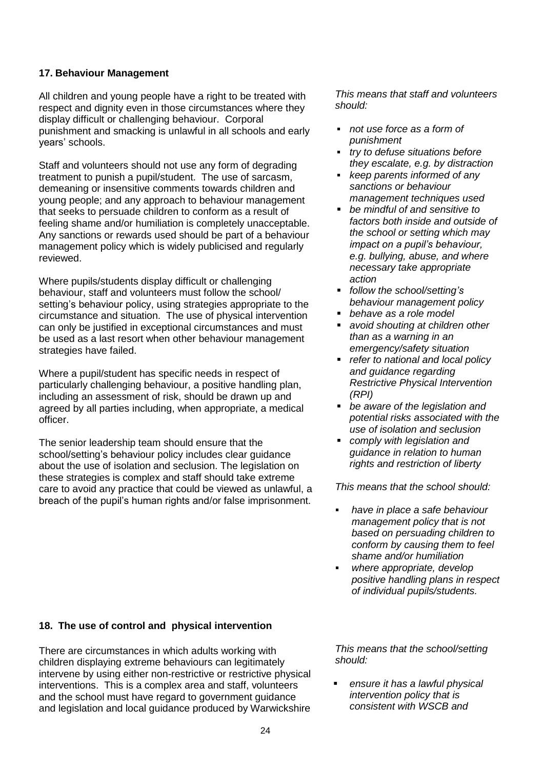# **17. Behaviour Management**

All children and young people have a right to be treated with respect and dignity even in those circumstances where they display difficult or challenging behaviour. Corporal punishment and smacking is unlawful in all schools and early years' schools.

Staff and volunteers should not use any form of degrading treatment to punish a pupil/student. The use of sarcasm, demeaning or insensitive comments towards children and young people; and any approach to behaviour management that seeks to persuade children to conform as a result of feeling shame and/or humiliation is completely unacceptable. Any sanctions or rewards used should be part of a behaviour management policy which is widely publicised and regularly reviewed.

Where pupils/students display difficult or challenging behaviour, staff and volunteers must follow the school/ setting's behaviour policy, using strategies appropriate to the circumstance and situation. The use of physical intervention can only be justified in exceptional circumstances and must be used as a last resort when other behaviour management strategies have failed.

Where a pupil/student has specific needs in respect of particularly challenging behaviour, a positive handling plan, including an assessment of risk, should be drawn up and agreed by all parties including, when appropriate, a medical officer.

The senior leadership team should ensure that the school/setting's behaviour policy includes clear guidance about the use of isolation and seclusion. The legislation on these strategies is complex and staff should take extreme care to avoid any practice that could be viewed as unlawful, a breach of the pupil's human rights and/or false imprisonment.

*This means that staff and volunteers should:*

- *not use force as a form of punishment*
- *try to defuse situations before they escalate, e.g. by distraction*
- *keep parents informed of any sanctions or behaviour management techniques used*
- *be mindful of and sensitive to factors both inside and outside of the school or setting which may impact on a pupil's behaviour, e.g. bullying, abuse, and where necessary take appropriate action*
- *follow the school/setting's behaviour management policy*
- *behave as a role model*
- *avoid shouting at children other than as a warning in an emergency/safety situation*
- *refer to national and local policy and guidance regarding Restrictive Physical Intervention (RPI)*
- *be aware of the legislation and potential risks associated with the use of isolation and seclusion*
- *comply with legislation and guidance in relation to human rights and restriction of liberty*

*This means that the school should:*

- *have in place a safe behaviour management policy that is not based on persuading children to conform by causing them to feel shame and/or humiliation*
- *where appropriate, develop positive handling plans in respect of individual pupils/students.*

# **18. The use of control and physical intervention**

There are circumstances in which adults working with children displaying extreme behaviours can legitimately intervene by using either non-restrictive or restrictive physical interventions. This is a complex area and staff, volunteers and the school must have regard to government guidance and legislation and local guidance produced by Warwickshire

*This means that the school/setting should:*

 *ensure it has a lawful physical intervention policy that is consistent with WSCB and*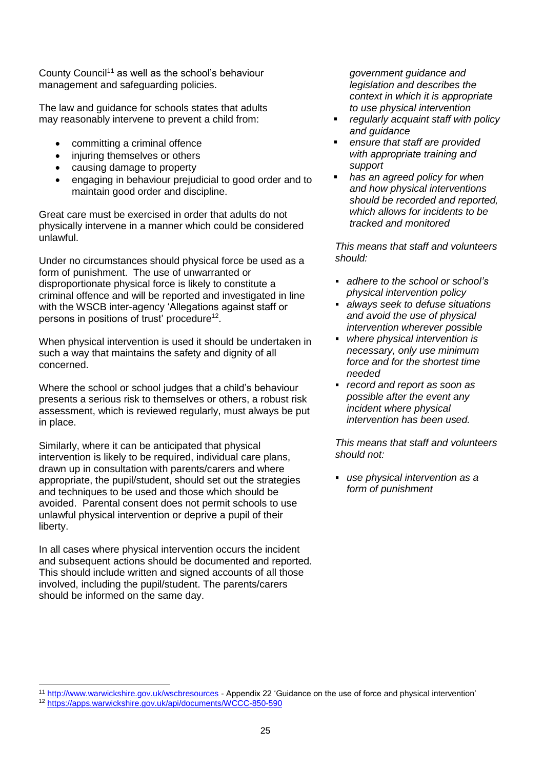County Council<sup>11</sup> as well as the school's behaviour management and safeguarding policies.

The law and guidance for schools states that adults may reasonably intervene to prevent a child from:

- committing a criminal offence
- injuring themselves or others
- causing damage to property
- engaging in behaviour prejudicial to good order and to maintain good order and discipline.

Great care must be exercised in order that adults do not physically intervene in a manner which could be considered unlawful.

Under no circumstances should physical force be used as a form of punishment. The use of unwarranted or disproportionate physical force is likely to constitute a criminal offence and will be reported and investigated in line with the WSCB inter-agency 'Allegations against staff or persons in positions of trust' procedure<sup>12</sup>.

When physical intervention is used it should be undertaken in such a way that maintains the safety and dignity of all concerned.

Where the school or school judges that a child's behaviour presents a serious risk to themselves or others, a robust risk assessment, which is reviewed regularly, must always be put in place.

Similarly, where it can be anticipated that physical intervention is likely to be required, individual care plans, drawn up in consultation with parents/carers and where appropriate, the pupil/student, should set out the strategies and techniques to be used and those which should be avoided. Parental consent does not permit schools to use unlawful physical intervention or deprive a pupil of their liberty.

In all cases where physical intervention occurs the incident and subsequent actions should be documented and reported. This should include written and signed accounts of all those involved, including the pupil/student. The parents/carers should be informed on the same day.

*government guidance and legislation and describes the context in which it is appropriate to use physical intervention* 

- *regularly acquaint staff with policy and guidance*
- *ensure that staff are provided with appropriate training and support*
- *has an agreed policy for when and how physical interventions should be recorded and reported, which allows for incidents to be tracked and monitored*

*This means that staff and volunteers should:*

- *adhere to the school or school's physical intervention policy*
- *always seek to defuse situations and avoid the use of physical intervention wherever possible*
- *where physical intervention is necessary, only use minimum force and for the shortest time needed*
- *record and report as soon as possible after the event any incident where physical intervention has been used.*

*This means that staff and volunteers should not:*

 *use physical intervention as a form of punishment* 

l

<sup>&</sup>lt;sup>11</sup> <http://www.warwickshire.gov.uk/wscbresources> - Appendix 22 'Guidance on the use of force and physical intervention'

<sup>12</sup> <https://apps.warwickshire.gov.uk/api/documents/WCCC-850-590>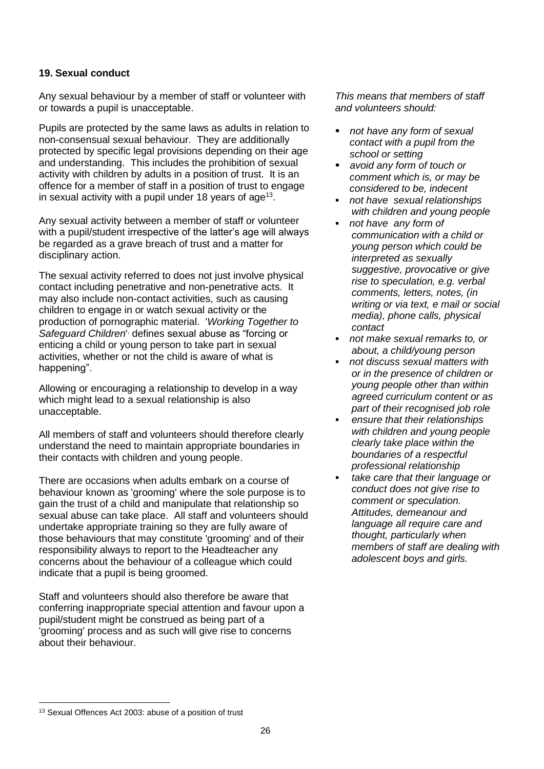# **19. Sexual conduct**

Any sexual behaviour by a member of staff or volunteer with or towards a pupil is unacceptable.

Pupils are protected by the same laws as adults in relation to non-consensual sexual behaviour. They are additionally protected by specific legal provisions depending on their age and understanding. This includes the prohibition of sexual activity with children by adults in a position of trust. It is an offence for a member of staff in a position of trust to engage in sexual activity with a pupil under 18 years of age<sup>13</sup>.

Any sexual activity between a member of staff or volunteer with a pupil/student irrespective of the latter's age will always be regarded as a grave breach of trust and a matter for disciplinary action.

The sexual activity referred to does not just involve physical contact including penetrative and non-penetrative acts. It may also include non-contact activities, such as causing children to engage in or watch sexual activity or the production of pornographic material. '*Working Together to*  Safeguard Children<sup>1,</sup> defines sexual abuse as "forcing or enticing a child or young person to take part in sexual activities, whether or not the child is aware of what is happening".

Allowing or encouraging a relationship to develop in a way which might lead to a sexual relationship is also unacceptable.

All members of staff and volunteers should therefore clearly understand the need to maintain appropriate boundaries in their contacts with children and young people.

There are occasions when adults embark on a course of behaviour known as 'grooming' where the sole purpose is to gain the trust of a child and manipulate that relationship so sexual abuse can take place. All staff and volunteers should undertake appropriate training so they are fully aware of those behaviours that may constitute 'grooming' and of their responsibility always to report to the Headteacher any concerns about the behaviour of a colleague which could indicate that a pupil is being groomed.

Staff and volunteers should also therefore be aware that conferring inappropriate special attention and favour upon a pupil/student might be construed as being part of a 'grooming' process and as such will give rise to concerns about their behaviour.

*This means that members of staff and volunteers should:*

- *not have any form of sexual contact with a pupil from the school or setting*
- *avoid any form of touch or comment which is, or may be considered to be, indecent*
- *not have sexual relationships with children and young people*
- *not have any form of communication with a child or young person which could be interpreted as sexually suggestive, provocative or give rise to speculation, e.g. verbal comments, letters, notes, (in writing or via text, e mail or social media), phone calls, physical contact*
- *not make sexual remarks to, or about, a child/young person*
- *not discuss sexual matters with or in the presence of children or young people other than within agreed curriculum content or as part of their recognised job role*
- *ensure that their relationships with children and young people clearly take place within the boundaries of a respectful professional relationship*
- *take care that their language or conduct does not give rise to comment or speculation. Attitudes, demeanour and language all require care and thought, particularly when members of staff are dealing with adolescent boys and girls.*

l

<sup>13</sup> Sexual Offences Act 2003: abuse of a position of trust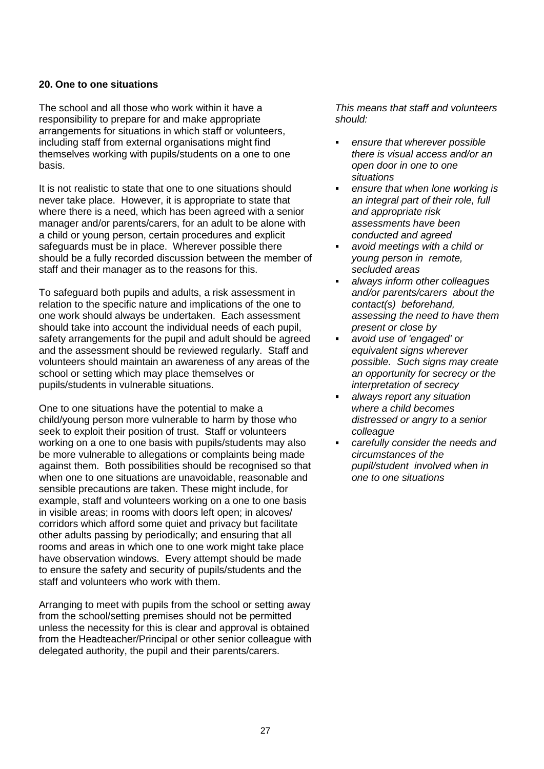# **20. One to one situations**

The school and all those who work within it have a responsibility to prepare for and make appropriate arrangements for situations in which staff or volunteers, including staff from external organisations might find themselves working with pupils/students on a one to one basis.

It is not realistic to state that one to one situations should never take place. However, it is appropriate to state that where there is a need, which has been agreed with a senior manager and/or parents/carers, for an adult to be alone with a child or young person, certain procedures and explicit safeguards must be in place. Wherever possible there should be a fully recorded discussion between the member of staff and their manager as to the reasons for this.

To safeguard both pupils and adults, a risk assessment in relation to the specific nature and implications of the one to one work should always be undertaken. Each assessment should take into account the individual needs of each pupil, safety arrangements for the pupil and adult should be agreed and the assessment should be reviewed regularly. Staff and volunteers should maintain an awareness of any areas of the school or setting which may place themselves or pupils/students in vulnerable situations.

One to one situations have the potential to make a child/young person more vulnerable to harm by those who seek to exploit their position of trust. Staff or volunteers working on a one to one basis with pupils/students may also be more vulnerable to allegations or complaints being made against them. Both possibilities should be recognised so that when one to one situations are unavoidable, reasonable and sensible precautions are taken. These might include, for example, staff and volunteers working on a one to one basis in visible areas; in rooms with doors left open; in alcoves/ corridors which afford some quiet and privacy but facilitate other adults passing by periodically; and ensuring that all rooms and areas in which one to one work might take place have observation windows. Every attempt should be made to ensure the safety and security of pupils/students and the staff and volunteers who work with them.

Arranging to meet with pupils from the school or setting away from the school/setting premises should not be permitted unless the necessity for this is clear and approval is obtained from the Headteacher/Principal or other senior colleague with delegated authority, the pupil and their parents/carers.

- *ensure that wherever possible there is visual access and/or an open door in one to one situations*
- *ensure that when lone working is an integral part of their role, full and appropriate risk assessments have been conducted and agreed*
- *avoid meetings with a child or young person in remote, secluded areas*
- *always inform other colleagues and/or parents/carers about the contact(s) beforehand, assessing the need to have them present or close by*
- *avoid use of 'engaged' or equivalent signs wherever possible. Such signs may create an opportunity for secrecy or the interpretation of secrecy*
- *always report any situation where a child becomes distressed or angry to a senior colleague*
- *carefully consider the needs and circumstances of the pupil/student involved when in one to one situations*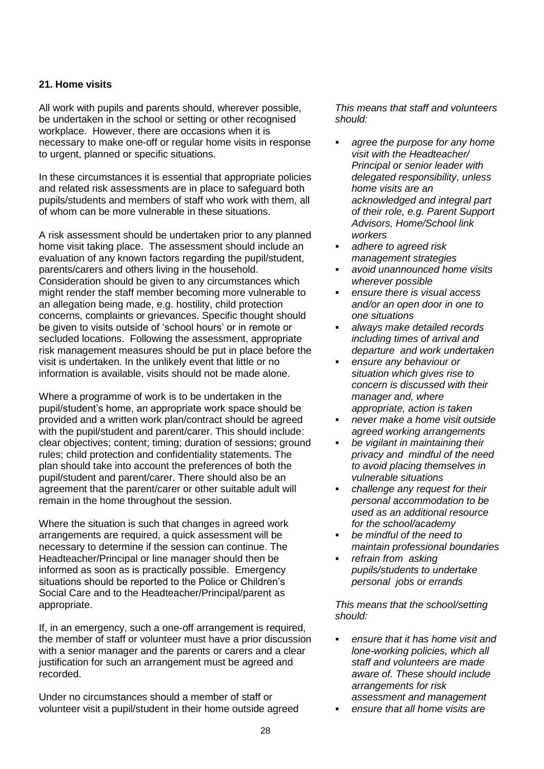# **21. Home visits**

All work with pupils and parents should, wherever possible, be undertaken in the school or setting or other recognised workplace. However, there are occasions when it is necessary to make one-off or regular home visits in response to urgent, planned or specific situations.

In these circumstances it is essential that appropriate policies and related risk assessments are in place to safeguard both pupils/students and members of staff who work with them, all of whom can be more vulnerable in these situations.

A risk assessment should be undertaken prior to any planned home visit taking place. The assessment should include an evaluation of any known factors regarding the pupil/student, parents/carers and others living in the household. Consideration should be given to any circumstances which might render the staff member becoming more vulnerable to an allegation being made, e.g. hostility, child protection concerns, complaints or grievances. Specific thought should be given to visits outside of 'school hours' or in remote or secluded locations. Following the assessment, appropriate risk management measures should be put in place before the visit is undertaken. In the unlikely event that little or no information is available, visits should not be made alone.

Where a programme of work is to be undertaken in the pupil/student's home, an appropriate work space should be provided and a written work plan/contract should be agreed with the pupil/student and parent/carer. This should include: clear objectives; content; timing; duration of sessions; ground rules; child protection and confidentiality statements. The plan should take into account the preferences of both the pupil/student and parent/carer. There should also be an agreement that the parent/carer or other suitable adult will remain in the home throughout the session.

Where the situation is such that changes in agreed work arrangements are required, a quick assessment will be necessary to determine if the session can continue. The Headteacher/Principal or line manager should then be informed as soon as is practically possible. Emergency situations should be reported to the Police or Children's Social Care and to the Headteacher/Principal/parent as appropriate.

If, in an emergency, such a one-off arrangement is required, the member of staff or volunteer must have a prior discussion with a senior manager and the parents or carers and a clear justification for such an arrangement must be agreed and recorded.

Under no circumstances should a member of staff or volunteer visit a pupil/student in their home outside agreed *This means that staff and volunteers should:* 

- *agree the purpose for any home visit with the Headteacher/ Principal or senior leader with delegated responsibility, unless home visits are an acknowledged and integral part of their role, e.g. Parent Support Advisors, Home/School link workers*
- *adhere to agreed risk management strategies*
- *avoid unannounced home visits wherever possible*
- *ensure there is visual access and/or an open door in one to one situations*
- *always make detailed records including times of arrival and departure and work undertaken*
- *ensure any behaviour or situation which gives rise to concern is discussed with their manager and, where appropriate, action is taken*
- *never make a home visit outside agreed working arrangements*
- *be vigilant in maintaining their privacy and mindful of the need to avoid placing themselves in vulnerable situations*
- *challenge any request for their personal accommodation to be used as an additional resource for the school/academy*
- *be mindful of the need to maintain professional boundaries*
- *refrain from asking pupils/students to undertake personal jobs or errands*

*This means that the school/setting should:*

- *ensure that it has home visit and lone-working policies, which all staff and volunteers are made aware of. These should include arrangements for risk assessment and management*
- *ensure that all home visits are*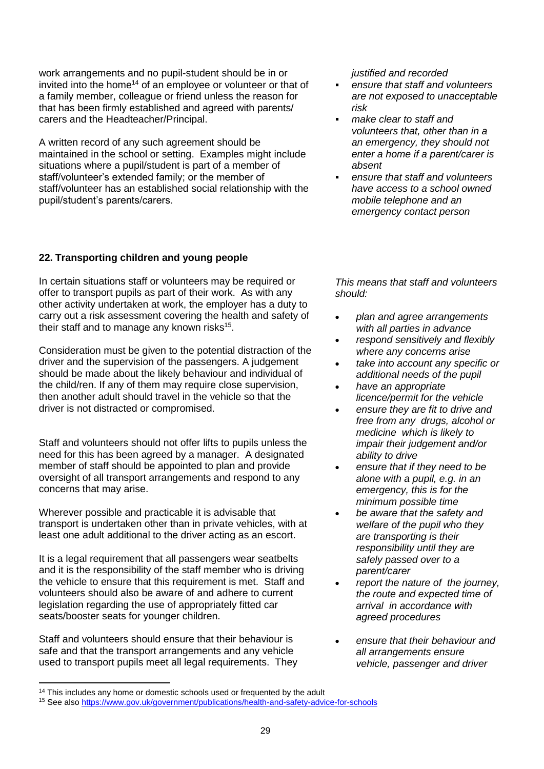work arrangements and no pupil-student should be in or invited into the home<sup>14</sup> of an employee or volunteer or that of a family member, colleague or friend unless the reason for that has been firmly established and agreed with parents/ carers and the Headteacher/Principal.

A written record of any such agreement should be maintained in the school or setting. Examples might include situations where a pupil/student is part of a member of staff/volunteer's extended family; or the member of staff/volunteer has an established social relationship with the pupil/student's parents/carers.

# **22. Transporting children and young people**

In certain situations staff or volunteers may be required or offer to transport pupils as part of their work. As with any other activity undertaken at work, the employer has a duty to carry out a risk assessment covering the health and safety of their staff and to manage any known risks<sup>15</sup>.

Consideration must be given to the potential distraction of the driver and the supervision of the passengers. A judgement should be made about the likely behaviour and individual of the child/ren. If any of them may require close supervision, then another adult should travel in the vehicle so that the driver is not distracted or compromised.

Staff and volunteers should not offer lifts to pupils unless the need for this has been agreed by a manager. A designated member of staff should be appointed to plan and provide oversight of all transport arrangements and respond to any concerns that may arise.

Wherever possible and practicable it is advisable that transport is undertaken other than in private vehicles, with at least one adult additional to the driver acting as an escort.

It is a legal requirement that all passengers wear seatbelts and it is the responsibility of the staff member who is driving the vehicle to ensure that this requirement is met. Staff and volunteers should also be aware of and adhere to current legislation regarding the use of appropriately fitted car seats/booster seats for younger children.

Staff and volunteers should ensure that their behaviour is safe and that the transport arrangements and any vehicle used to transport pupils meet all legal requirements. They

 $\overline{a}$ 

*justified and recorded*

- *ensure that staff and volunteers are not exposed to unacceptable risk*
- *make clear to staff and volunteers that, other than in a an emergency, they should not enter a home if a parent/carer is absent*
- *ensure that staff and volunteers have access to a school owned mobile telephone and an emergency contact person*

- *plan and agree arrangements with all parties in advance*
- *respond sensitively and flexibly where any concerns arise*
- *take into account any specific or additional needs of the pupil*
- *have an appropriate licence/permit for the vehicle*
- *ensure they are fit to drive and free from any drugs, alcohol or medicine which is likely to impair their judgement and/or ability to drive*
- *ensure that if they need to be alone with a pupil, e.g. in an emergency, this is for the minimum possible time*
- *be aware that the safety and welfare of the pupil who they are transporting is their responsibility until they are safely passed over to a parent/carer*
- *report the nature of the journey, the route and expected time of arrival in accordance with agreed procedures*
- *ensure that their behaviour and all arrangements ensure vehicle, passenger and driver*

<sup>&</sup>lt;sup>14</sup> This includes any home or domestic schools used or frequented by the adult

<sup>15</sup> See also<https://www.gov.uk/government/publications/health-and-safety-advice-for-schools>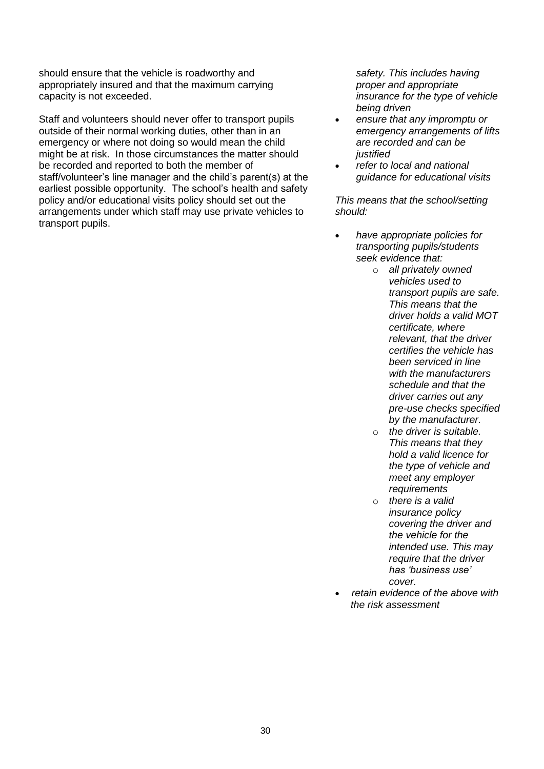should ensure that the vehicle is roadworthy and appropriately insured and that the maximum carrying capacity is not exceeded.

Staff and volunteers should never offer to transport pupils outside of their normal working duties, other than in an emergency or where not doing so would mean the child might be at risk. In those circumstances the matter should be recorded and reported to both the member of staff/volunteer's line manager and the child's parent(s) at the earliest possible opportunity. The school's health and safety policy and/or educational visits policy should set out the arrangements under which staff may use private vehicles to transport pupils.

*safety. This includes having proper and appropriate insurance for the type of vehicle being driven* 

- *ensure that any impromptu or emergency arrangements of lifts are recorded and can be justified*
- *refer to local and national guidance for educational visits*

*This means that the school/setting should:*

- *have appropriate policies for transporting pupils/students seek evidence that:*
	- o *all privately owned vehicles used to transport pupils are safe. This means that the driver holds a valid MOT certificate, where relevant, that the driver certifies the vehicle has been serviced in line with the manufacturers schedule and that the driver carries out any pre-use checks specified by the manufacturer.*
	- o *the driver is suitable. This means that they hold a valid licence for the type of vehicle and meet any employer requirements*
	- o *there is a valid insurance policy covering the driver and the vehicle for the intended use. This may require that the driver has 'business use' cover.*
- *retain evidence of the above with the risk assessment*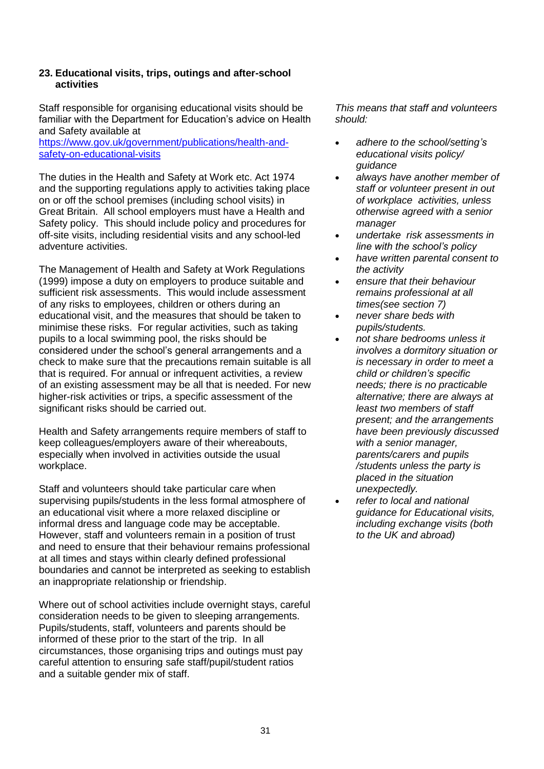# **23. Educational visits, trips, outings and after-school activities**

Staff responsible for organising educational visits should be familiar with the Department for Education's advice on Health and Safety available at

[https://www.gov.uk/government/publications/health-and](https://www.gov.uk/government/publications/health-and-safety-on-educational-visits)[safety-on-educational-visits](https://www.gov.uk/government/publications/health-and-safety-on-educational-visits)

The duties in the Health and Safety at Work etc. Act 1974 and the supporting regulations apply to activities taking place on or off the school premises (including school visits) in Great Britain. All school employers must have a Health and Safety policy. This should include policy and procedures for off-site visits, including residential visits and any school-led adventure activities.

The Management of Health and Safety at Work Regulations (1999) impose a duty on employers to produce suitable and sufficient risk assessments. This would include assessment of any risks to employees, children or others during an educational visit, and the measures that should be taken to minimise these risks. For regular activities, such as taking pupils to a local swimming pool, the risks should be considered under the school's general arrangements and a check to make sure that the precautions remain suitable is all that is required. For annual or infrequent activities, a review of an existing assessment may be all that is needed. For new higher-risk activities or trips, a specific assessment of the significant risks should be carried out.

Health and Safety arrangements require members of staff to keep colleagues/employers aware of their whereabouts, especially when involved in activities outside the usual workplace.

Staff and volunteers should take particular care when supervising pupils/students in the less formal atmosphere of an educational visit where a more relaxed discipline or informal dress and language code may be acceptable. However, staff and volunteers remain in a position of trust and need to ensure that their behaviour remains professional at all times and stays within clearly defined professional boundaries and cannot be interpreted as seeking to establish an inappropriate relationship or friendship.

Where out of school activities include overnight stays, careful consideration needs to be given to sleeping arrangements. Pupils/students, staff, volunteers and parents should be informed of these prior to the start of the trip. In all circumstances, those organising trips and outings must pay careful attention to ensuring safe staff/pupil/student ratios and a suitable gender mix of staff.

- *adhere to the school/setting's educational visits policy/ guidance*
- *always have another member of staff or volunteer present in out of workplace activities, unless otherwise agreed with a senior manager*
- *undertake risk assessments in line with the school's policy*
- *have written parental consent to the activity*
- *ensure that their behaviour remains professional at all times(see section 7)*
- *never share beds with pupils/students.*
- *not share bedrooms unless it involves a dormitory situation or is necessary in order to meet a child or children's specific needs; there is no practicable alternative; there are always at least two members of staff present; and the arrangements have been previously discussed with a senior manager, parents/carers and pupils /students unless the party is placed in the situation unexpectedly.*
- *refer to local and national guidance for Educational visits, including exchange visits (both to the UK and abroad)*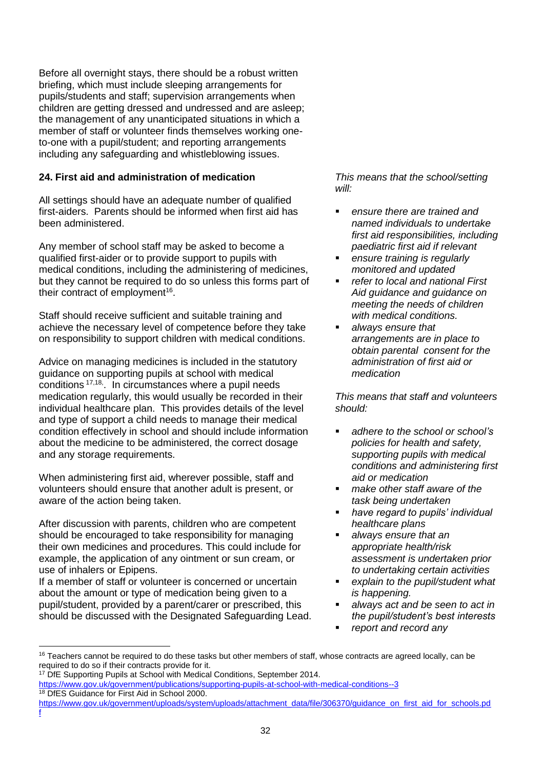Before all overnight stays, there should be a robust written briefing, which must include sleeping arrangements for pupils/students and staff; supervision arrangements when children are getting dressed and undressed and are asleep; the management of any unanticipated situations in which a member of staff or volunteer finds themselves working oneto-one with a pupil/student; and reporting arrangements including any safeguarding and whistleblowing issues.

# **24. First aid and administration of medication**

All settings should have an adequate number of qualified first-aiders. Parents should be informed when first aid has been administered.

Any member of school staff may be asked to become a qualified first-aider or to provide support to pupils with medical conditions, including the administering of medicines, but they cannot be required to do so unless this forms part of their contract of employment<sup>16</sup>.

Staff should receive sufficient and suitable training and achieve the necessary level of competence before they take on responsibility to support children with medical conditions.

Advice on managing medicines is included in the statutory guidance on supporting pupils at school with medical conditions 17,18, . In circumstances where a pupil needs medication regularly, this would usually be recorded in their individual healthcare plan. This provides details of the level and type of support a child needs to manage their medical condition effectively in school and should include information about the medicine to be administered, the correct dosage and any storage requirements.

When administering first aid, wherever possible, staff and volunteers should ensure that another adult is present, or aware of the action being taken.

After discussion with parents, children who are competent should be encouraged to take responsibility for managing their own medicines and procedures. This could include for example, the application of any ointment or sun cream, or use of inhalers or Epipens.

If a member of staff or volunteer is concerned or uncertain about the amount or type of medication being given to a pupil/student, provided by a parent/carer or prescribed, this should be discussed with the Designated Safeguarding Lead.

*This means that the school/setting will:*

- *ensure there are trained and named individuals to undertake first aid responsibilities, including paediatric first aid if relevant*
- *ensure training is regularly monitored and updated*
- *refer to local and national First Aid guidance and guidance on meeting the needs of children with medical conditions.*
- *always ensure that arrangements are in place to obtain parental consent for the administration of first aid or medication*

- *adhere to the school or school's policies for health and safety, supporting pupils with medical conditions and administering first aid or medication*
- *make other staff aware of the task being undertaken*
- *have regard to pupils' individual healthcare plans*
- *always ensure that an appropriate health/risk assessment is undertaken prior to undertaking certain activities*
- *explain to the pupil/student what is happening.*
- *always act and be seen to act in the pupil/student's best interests*
- *report and record any*

l <sup>16</sup> Teachers cannot be required to do these tasks but other members of staff, whose contracts are agreed locally, can be required to do so if their contracts provide for it.

<sup>&</sup>lt;sup>17</sup> DfE Supporting Pupils at School with Medical Conditions, September 2014.

<https://www.gov.uk/government/publications/supporting-pupils-at-school-with-medical-conditions--3> <sup>18</sup> DfES Guidance for First Aid in School 2000.

[https://www.gov.uk/government/uploads/system/uploads/attachment\\_data/file/306370/guidance\\_on\\_first\\_aid\\_for\\_schools.pd](https://www.gov.uk/government/uploads/system/uploads/attachment_data/file/306370/guidance_on_first_aid_for_schools.pdf) [f](https://www.gov.uk/government/uploads/system/uploads/attachment_data/file/306370/guidance_on_first_aid_for_schools.pdf)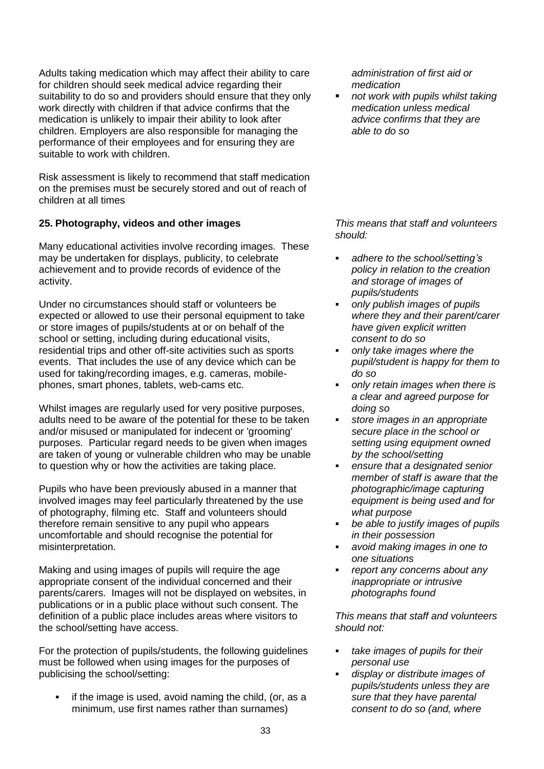Adults taking medication which may affect their ability to care for children should seek medical advice regarding their suitability to do so and providers should ensure that they only work directly with children if that advice confirms that the medication is unlikely to impair their ability to look after children. Employers are also responsible for managing the performance of their employees and for ensuring they are suitable to work with children.

Risk assessment is likely to recommend that staff medication on the premises must be securely stored and out of reach of children at all times

# **25. Photography, videos and other images**

Many educational activities involve recording images. These may be undertaken for displays, publicity, to celebrate achievement and to provide records of evidence of the activity.

Under no circumstances should staff or volunteers be expected or allowed to use their personal equipment to take or store images of pupils/students at or on behalf of the school or setting, including during educational visits, residential trips and other off-site activities such as sports events. That includes the use of any device which can be used for taking/recording images, e.g. cameras, mobilephones, smart phones, tablets, web-cams etc.

Whilst images are regularly used for very positive purposes, adults need to be aware of the potential for these to be taken and/or misused or manipulated for indecent or 'grooming' purposes. Particular regard needs to be given when images are taken of young or vulnerable children who may be unable to question why or how the activities are taking place.

Pupils who have been previously abused in a manner that involved images may feel particularly threatened by the use of photography, filming etc. Staff and volunteers should therefore remain sensitive to any pupil who appears uncomfortable and should recognise the potential for misinterpretation.

Making and using images of pupils will require the age appropriate consent of the individual concerned and their parents/carers. Images will not be displayed on websites, in publications or in a public place without such consent. The definition of a public place includes areas where visitors to the school/setting have access.

For the protection of pupils/students, the following guidelines must be followed when using images for the purposes of publicising the school/setting:

 if the image is used, avoid naming the child, (or, as a minimum, use first names rather than surnames)

*administration of first aid or medication*

 *not work with pupils whilst taking medication unless medical advice confirms that they are able to do so* 

*This means that staff and volunteers should:*

- *adhere to the school/setting's policy in relation to the creation and storage of images of pupils/students*
- *only publish images of pupils where they and their parent/carer have given explicit written consent to do so*
- *only take images where the pupil/student is happy for them to do so*
- *only retain images when there is a clear and agreed purpose for doing so*
- *store images in an appropriate secure place in the school or setting using equipment owned by the school/setting*
- *ensure that a designated senior member of staff is aware that the photographic/image capturing equipment is being used and for what purpose*
- *be able to justify images of pupils in their possession*
- *avoid making images in one to one situations*
- *report any concerns about any inappropriate or intrusive photographs found*

- *take images of pupils for their personal use*
- *display or distribute images of pupils/students unless they are sure that they have parental consent to do so (and, where*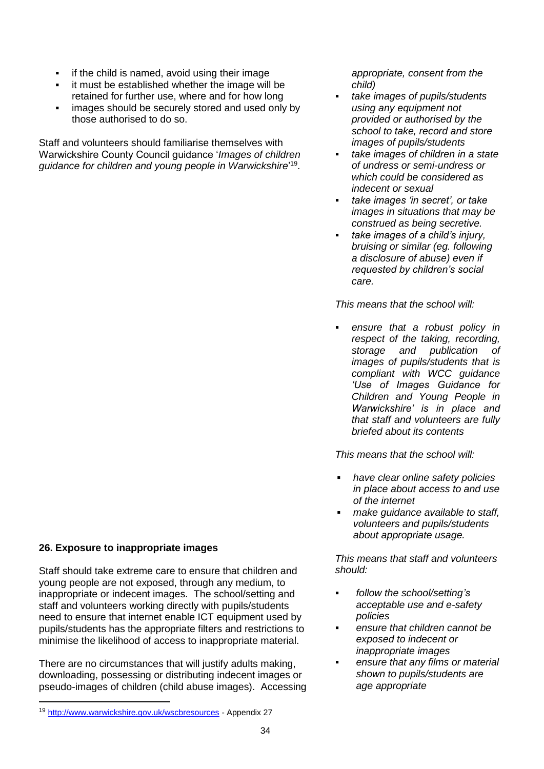- **i** if the child is named, avoid using their image
- it must be established whether the image will be retained for further use, where and for how long
- images should be securely stored and used only by those authorised to do so.

Staff and volunteers should familiarise themselves with Warwickshire County Council guidance '*Images of children guidance for children and young people in Warwickshire*' 19 .

# **26. Exposure to inappropriate images**

Staff should take extreme care to ensure that children and young people are not exposed, through any medium, to inappropriate or indecent images. The school/setting and staff and volunteers working directly with pupils/students need to ensure that internet enable ICT equipment used by pupils/students has the appropriate filters and restrictions to minimise the likelihood of access to inappropriate material.

There are no circumstances that will justify adults making, downloading, possessing or distributing indecent images or pseudo-images of children (child abuse images). Accessing

l

*appropriate, consent from the child)* 

- *take images of pupils/students using any equipment not provided or authorised by the school to take, record and store images of pupils/students*
- *take images of children in a state of undress or semi-undress or which could be considered as indecent or sexual*
- *take images 'in secret', or take images in situations that may be construed as being secretive.*
- *take images of a child's injury, bruising or similar (eg. following a disclosure of abuse) even if requested by children's social care.*

*This means that the school will:* 

 *ensure that a robust policy in respect of the taking, recording, storage and publication of images of pupils/students that is compliant with WCC guidance 'Use of Images Guidance for Children and Young People in Warwickshire' is in place and that staff and volunteers are fully briefed about its contents*

*This means that the school will:*

- *have clear online safety policies in place about access to and use of the internet*
- *make guidance available to staff, volunteers and pupils/students about appropriate usage.*

- *follow the school/setting's acceptable use and e-safety policies*
- *ensure that children cannot be exposed to indecent or inappropriate images*
- *ensure that any films or material shown to pupils/students are age appropriate*

<sup>19</sup> <http://www.warwickshire.gov.uk/wscbresources> - Appendix 27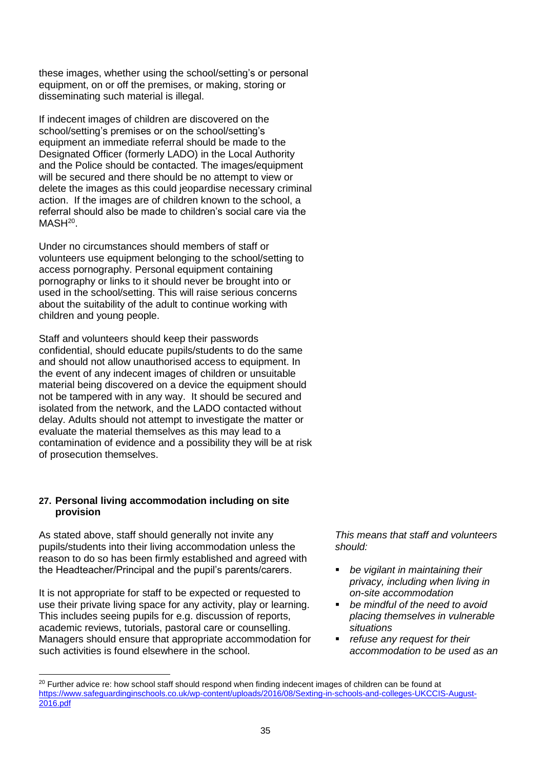these images, whether using the school/setting's or personal equipment, on or off the premises, or making, storing or disseminating such material is illegal.

If indecent images of children are discovered on the school/setting's premises or on the school/setting's equipment an immediate referral should be made to the Designated Officer (formerly LADO) in the Local Authority and the Police should be contacted. The images/equipment will be secured and there should be no attempt to view or delete the images as this could jeopardise necessary criminal action. If the images are of children known to the school, a referral should also be made to children's social care via the  $MASH<sup>20</sup>$ .

Under no circumstances should members of staff or volunteers use equipment belonging to the school/setting to access pornography. Personal equipment containing pornography or links to it should never be brought into or used in the school/setting. This will raise serious concerns about the suitability of the adult to continue working with children and young people.

Staff and volunteers should keep their passwords confidential, should educate pupils/students to do the same and should not allow unauthorised access to equipment. In the event of any indecent images of children or unsuitable material being discovered on a device the equipment should not be tampered with in any way. It should be secured and isolated from the network, and the LADO contacted without delay. Adults should not attempt to investigate the matter or evaluate the material themselves as this may lead to a contamination of evidence and a possibility they will be at risk of prosecution themselves.

# **27. Personal living accommodation including on site provision**

As stated above, staff should generally not invite any pupils/students into their living accommodation unless the reason to do so has been firmly established and agreed with the Headteacher/Principal and the pupil's parents/carers.

It is not appropriate for staff to be expected or requested to use their private living space for any activity, play or learning. This includes seeing pupils for e.g. discussion of reports, academic reviews, tutorials, pastoral care or counselling. Managers should ensure that appropriate accommodation for such activities is found elsewhere in the school.

l

- *be vigilant in maintaining their privacy, including when living in on-site accommodation*
- *be mindful of the need to avoid placing themselves in vulnerable situations*
- *refuse any request for their accommodation to be used as an*

<sup>&</sup>lt;sup>20</sup> Further advice re: how school staff should respond when finding indecent images of children can be found at [https://www.safeguardinginschools.co.uk/wp-content/uploads/2016/08/Sexting-in-schools-and-colleges-UKCCIS-August-](https://www.safeguardinginschools.co.uk/wp-content/uploads/2016/08/Sexting-in-schools-and-colleges-UKCCIS-August-2016.pdf)[2016.pdf](https://www.safeguardinginschools.co.uk/wp-content/uploads/2016/08/Sexting-in-schools-and-colleges-UKCCIS-August-2016.pdf)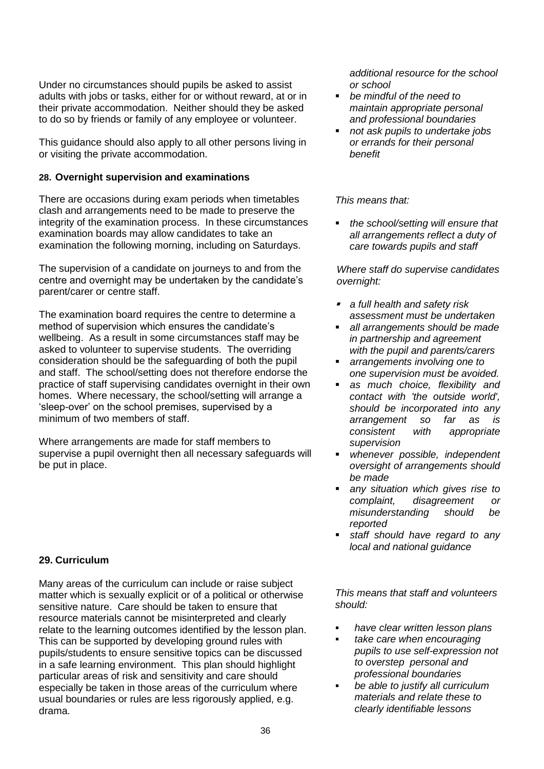Under no circumstances should pupils be asked to assist adults with jobs or tasks, either for or without reward, at or in their private accommodation. Neither should they be asked to do so by friends or family of any employee or volunteer.

This guidance should also apply to all other persons living in or visiting the private accommodation.

# **28. Overnight supervision and examinations**

There are occasions during exam periods when timetables clash and arrangements need to be made to preserve the integrity of the examination process. In these circumstances examination boards may allow candidates to take an examination the following morning, including on Saturdays.

The supervision of a candidate on journeys to and from the centre and overnight may be undertaken by the candidate's parent/carer or centre staff.

The examination board requires the centre to determine a method of supervision which ensures the candidate's wellbeing. As a result in some circumstances staff may be asked to volunteer to supervise students. The overriding consideration should be the safeguarding of both the pupil and staff. The school/setting does not therefore endorse the practice of staff supervising candidates overnight in their own homes. Where necessary, the school/setting will arrange a 'sleep-over' on the school premises, supervised by a minimum of two members of staff.

Where arrangements are made for staff members to supervise a pupil overnight then all necessary safeguards will be put in place.

# **29. Curriculum**

Many areas of the curriculum can include or raise subject matter which is sexually explicit or of a political or otherwise sensitive nature. Care should be taken to ensure that resource materials cannot be misinterpreted and clearly relate to the learning outcomes identified by the lesson plan. This can be supported by developing ground rules with pupils/students to ensure sensitive topics can be discussed in a safe learning environment. This plan should highlight particular areas of risk and sensitivity and care should especially be taken in those areas of the curriculum where usual boundaries or rules are less rigorously applied, e.g. drama.

*additional resource for the school or school*

- *be mindful of the need to maintain appropriate personal and professional boundaries*
- *not ask pupils to undertake jobs or errands for their personal benefit*

*This means that:*

 *the school/setting will ensure that all arrangements reflect a duty of care towards pupils and staff* 

*Where staff do supervise candidates overnight:* 

- *a full health and safety risk assessment must be undertaken*
- *all arrangements should be made in partnership and agreement with the pupil and parents/carers*
- *arrangements involving one to one supervision must be avoided.*
- *as much choice, flexibility and contact with 'the outside world', should be incorporated into any arrangement so far as is consistent with appropriate supervision*
- *whenever possible, independent oversight of arrangements should be made*
- *any situation which gives rise to complaint, disagreement or misunderstanding should be reported*
- *staff should have regard to any local and national guidance*

- *have clear written lesson plans*
- *take care when encouraging pupils to use self-expression not to overstep personal and professional boundaries*
- *be able to justify all curriculum materials and relate these to clearly identifiable lessons*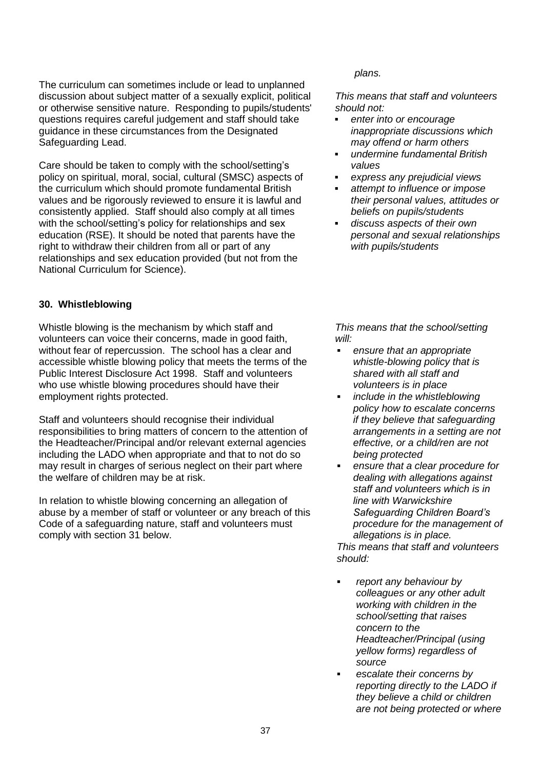The curriculum can sometimes include or lead to unplanned discussion about subject matter of a sexually explicit, political or otherwise sensitive nature. Responding to pupils/students' questions requires careful judgement and staff should take guidance in these circumstances from the Designated Safeguarding Lead.

Care should be taken to comply with the school/setting's policy on spiritual, moral, social, cultural (SMSC) aspects of the curriculum which should promote fundamental British values and be rigorously reviewed to ensure it is lawful and consistently applied. Staff should also comply at all times with the school/setting's policy for relationships and sex education (RSE). It should be noted that parents have the right to withdraw their children from all or part of any relationships and sex education provided (but not from the National Curriculum for Science).

# **30. Whistleblowing**

Whistle blowing is the mechanism by which staff and volunteers can voice their concerns, made in good faith, without fear of repercussion. The school has a clear and accessible whistle blowing policy that meets the terms of the Public Interest Disclosure Act 1998. Staff and volunteers who use whistle blowing procedures should have their employment rights protected.

Staff and volunteers should recognise their individual responsibilities to bring matters of concern to the attention of the Headteacher/Principal and/or relevant external agencies including the LADO when appropriate and that to not do so may result in charges of serious neglect on their part where the welfare of children may be at risk.

In relation to whistle blowing concerning an allegation of abuse by a member of staff or volunteer or any breach of this Code of a safeguarding nature, staff and volunteers must comply with section 31 below.

#### *plans.*

*This means that staff and volunteers should not:*

- *enter into or encourage inappropriate discussions which may offend or harm others*
- *undermine fundamental British values*
- *express any prejudicial views*
- *attempt to influence or impose their personal values, attitudes or beliefs on pupils/students*
- *discuss aspects of their own personal and sexual relationships with pupils/students*

*This means that the school/setting will:*

- *ensure that an appropriate whistle-blowing policy that is shared with all staff and volunteers is in place*
- *include in the whistleblowing policy how to escalate concerns if they believe that safeguarding arrangements in a setting are not effective, or a child/ren are not being protected*
- *ensure that a clear procedure for dealing with allegations against staff and volunteers which is in line with Warwickshire Safeguarding Children Board's procedure for the management of allegations is in place. This means that staff and volunteers should:*
- *report any behaviour by colleagues or any other adult working with children in the school/setting that raises concern to the Headteacher/Principal (using yellow forms) regardless of source*
- *escalate their concerns by reporting directly to the LADO if they believe a child or children are not being protected or where*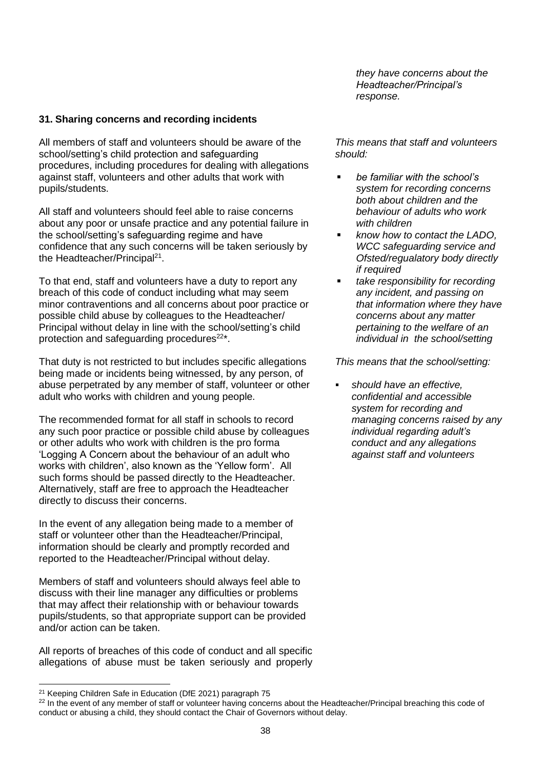**31. Sharing concerns and recording incidents**

All members of staff and volunteers should be aware of the school/setting's child protection and safeguarding procedures, including procedures for dealing with allegations against staff, volunteers and other adults that work with pupils/students.

All staff and volunteers should feel able to raise concerns about any poor or unsafe practice and any potential failure in the school/setting's safeguarding regime and have confidence that any such concerns will be taken seriously by the Headteacher/Principal<sup>21</sup>.

To that end, staff and volunteers have a duty to report any breach of this code of conduct including what may seem minor contraventions and all concerns about poor practice or possible child abuse by colleagues to the Headteacher/ Principal without delay in line with the school/setting's child protection and safeguarding procedures $22^*$ .

That duty is not restricted to but includes specific allegations being made or incidents being witnessed, by any person, of abuse perpetrated by any member of staff, volunteer or other adult who works with children and young people.

The recommended format for all staff in schools to record any such poor practice or possible child abuse by colleagues or other adults who work with children is the pro forma 'Logging A Concern about the behaviour of an adult who works with children', also known as the 'Yellow form'. All such forms should be passed directly to the Headteacher. Alternatively, staff are free to approach the Headteacher directly to discuss their concerns.

In the event of any allegation being made to a member of staff or volunteer other than the Headteacher/Principal, information should be clearly and promptly recorded and reported to the Headteacher/Principal without delay.

Members of staff and volunteers should always feel able to discuss with their line manager any difficulties or problems that may affect their relationship with or behaviour towards pupils/students, so that appropriate support can be provided and/or action can be taken.

All reports of breaches of this code of conduct and all specific allegations of abuse must be taken seriously and properly

l

*they have concerns about the Headteacher/Principal's response.*

*This means that staff and volunteers should:*

- *be familiar with the school's system for recording concerns both about children and the behaviour of adults who work with children*
- *know how to contact the LADO, WCC safeguarding service and Ofsted/regualatory body directly if required*
- *take responsibility for recording any incident, and passing on that information where they have concerns about any matter pertaining to the welfare of an individual in the school/setting*

*This means that the school/setting:*

 *should have an effective, confidential and accessible system for recording and managing concerns raised by any individual regarding adult's conduct and any allegations against staff and volunteers*

<sup>21</sup> Keeping Children Safe in Education (DfE 2021) paragraph 75

<sup>&</sup>lt;sup>22</sup> In the event of any member of staff or volunteer having concerns about the Headteacher/Principal breaching this code of conduct or abusing a child, they should contact the Chair of Governors without delay.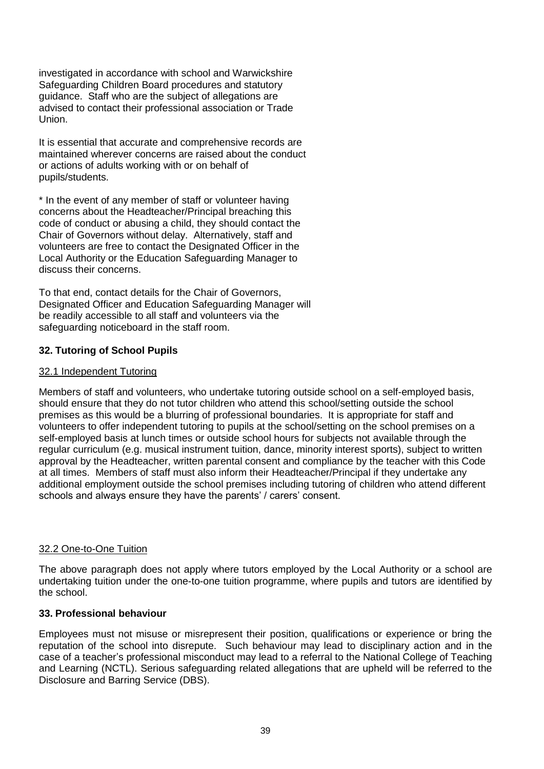investigated in accordance with school and Warwickshire Safeguarding Children Board procedures and statutory guidance. Staff who are the subject of allegations are advised to contact their professional association or Trade Union.

It is essential that accurate and comprehensive records are maintained wherever concerns are raised about the conduct or actions of adults working with or on behalf of pupils/students.

\* In the event of any member of staff or volunteer having concerns about the Headteacher/Principal breaching this code of conduct or abusing a child, they should contact the Chair of Governors without delay. Alternatively, staff and volunteers are free to contact the Designated Officer in the Local Authority or the Education Safeguarding Manager to discuss their concerns.

To that end, contact details for the Chair of Governors, Designated Officer and Education Safeguarding Manager will be readily accessible to all staff and volunteers via the safeguarding noticeboard in the staff room.

# **32. Tutoring of School Pupils**

# 32.1 Independent Tutoring

Members of staff and volunteers, who undertake tutoring outside school on a self-employed basis, should ensure that they do not tutor children who attend this school/setting outside the school premises as this would be a blurring of professional boundaries. It is appropriate for staff and volunteers to offer independent tutoring to pupils at the school/setting on the school premises on a self-employed basis at lunch times or outside school hours for subjects not available through the regular curriculum (e.g. musical instrument tuition, dance, minority interest sports), subject to written approval by the Headteacher, written parental consent and compliance by the teacher with this Code at all times. Members of staff must also inform their Headteacher/Principal if they undertake any additional employment outside the school premises including tutoring of children who attend different schools and always ensure they have the parents' / carers' consent.

# 32.2 One-to-One Tuition

The above paragraph does not apply where tutors employed by the Local Authority or a school are undertaking tuition under the one-to-one tuition programme, where pupils and tutors are identified by the school.

# **33. Professional behaviour**

Employees must not misuse or misrepresent their position, qualifications or experience or bring the reputation of the school into disrepute. Such behaviour may lead to disciplinary action and in the case of a teacher's professional misconduct may lead to a referral to the National College of Teaching and Learning (NCTL). Serious safeguarding related allegations that are upheld will be referred to the Disclosure and Barring Service (DBS).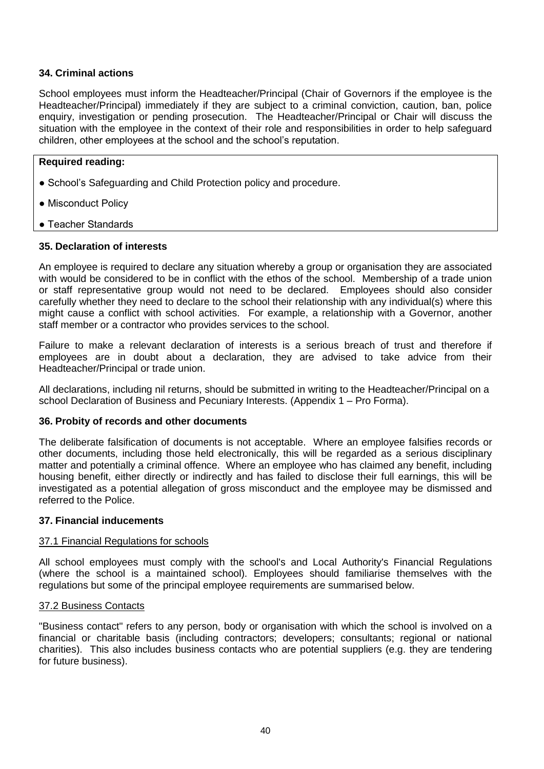# **34. Criminal actions**

School employees must inform the Headteacher/Principal (Chair of Governors if the employee is the Headteacher/Principal) immediately if they are subject to a criminal conviction, caution, ban, police enquiry, investigation or pending prosecution.The Headteacher/Principal or Chair will discuss the situation with the employee in the context of their role and responsibilities in order to help safeguard children, other employees at the school and the school's reputation.

# **Required reading:**

- School's Safeguarding and Child Protection policy and procedure.
- Misconduct Policy
- Teacher Standards

# **35. Declaration of interests**

An employee is required to declare any situation whereby a group or organisation they are associated with would be considered to be in conflict with the ethos of the school. Membership of a trade union or staff representative group would not need to be declared. Employees should also consider carefully whether they need to declare to the school their relationship with any individual(s) where this might cause a conflict with school activities. For example, a relationship with a Governor, another staff member or a contractor who provides services to the school.

Failure to make a relevant declaration of interests is a serious breach of trust and therefore if employees are in doubt about a declaration, they are advised to take advice from their Headteacher/Principal or trade union.

All declarations, including nil returns, should be submitted in writing to the Headteacher/Principal on a school Declaration of Business and Pecuniary Interests. (Appendix 1 – Pro Forma).

# **36. Probity of records and other documents**

The deliberate falsification of documents is not acceptable. Where an employee falsifies records or other documents, including those held electronically, this will be regarded as a serious disciplinary matter and potentially a criminal offence. Where an employee who has claimed any benefit, including housing benefit, either directly or indirectly and has failed to disclose their full earnings, this will be investigated as a potential allegation of gross misconduct and the employee may be dismissed and referred to the Police.

#### **37. Financial inducements**

# 37.1 Financial Regulations for schools

All school employees must comply with the school's and Local Authority's Financial Regulations (where the school is a maintained school). Employees should familiarise themselves with the regulations but some of the principal employee requirements are summarised below.

# 37.2 Business Contacts

"Business contact" refers to any person, body or organisation with which the school is involved on a financial or charitable basis (including contractors; developers; consultants; regional or national charities). This also includes business contacts who are potential suppliers (e.g. they are tendering for future business).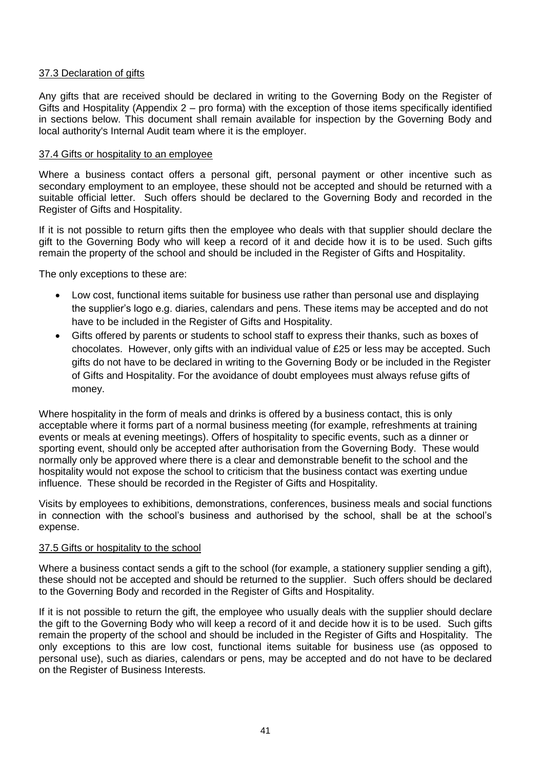# 37.3 Declaration of gifts

Any gifts that are received should be declared in writing to the Governing Body on the Register of Gifts and Hospitality (Appendix 2 – pro forma) with the exception of those items specifically identified in sections below. This document shall remain available for inspection by the Governing Body and local authority's Internal Audit team where it is the employer.

#### 37.4 Gifts or hospitality to an employee

Where a business contact offers a personal gift, personal payment or other incentive such as secondary employment to an employee, these should not be accepted and should be returned with a suitable official letter. Such offers should be declared to the Governing Body and recorded in the Register of Gifts and Hospitality.

If it is not possible to return gifts then the employee who deals with that supplier should declare the gift to the Governing Body who will keep a record of it and decide how it is to be used. Such gifts remain the property of the school and should be included in the Register of Gifts and Hospitality.

The only exceptions to these are:

- Low cost, functional items suitable for business use rather than personal use and displaying the supplier's logo e.g. diaries, calendars and pens. These items may be accepted and do not have to be included in the Register of Gifts and Hospitality.
- Gifts offered by parents or students to school staff to express their thanks, such as boxes of chocolates. However, only gifts with an individual value of £25 or less may be accepted. Such gifts do not have to be declared in writing to the Governing Body or be included in the Register of Gifts and Hospitality. For the avoidance of doubt employees must always refuse gifts of money.

Where hospitality in the form of meals and drinks is offered by a business contact, this is only acceptable where it forms part of a normal business meeting (for example, refreshments at training events or meals at evening meetings). Offers of hospitality to specific events, such as a dinner or sporting event, should only be accepted after authorisation from the Governing Body. These would normally only be approved where there is a clear and demonstrable benefit to the school and the hospitality would not expose the school to criticism that the business contact was exerting undue influence. These should be recorded in the Register of Gifts and Hospitality.

Visits by employees to exhibitions, demonstrations, conferences, business meals and social functions in connection with the school's business and authorised by the school, shall be at the school's expense.

#### 37.5 Gifts or hospitality to the school

Where a business contact sends a gift to the school (for example, a stationery supplier sending a gift), these should not be accepted and should be returned to the supplier. Such offers should be declared to the Governing Body and recorded in the Register of Gifts and Hospitality.

If it is not possible to return the gift, the employee who usually deals with the supplier should declare the gift to the Governing Body who will keep a record of it and decide how it is to be used. Such gifts remain the property of the school and should be included in the Register of Gifts and Hospitality. The only exceptions to this are low cost, functional items suitable for business use (as opposed to personal use), such as diaries, calendars or pens, may be accepted and do not have to be declared on the Register of Business Interests.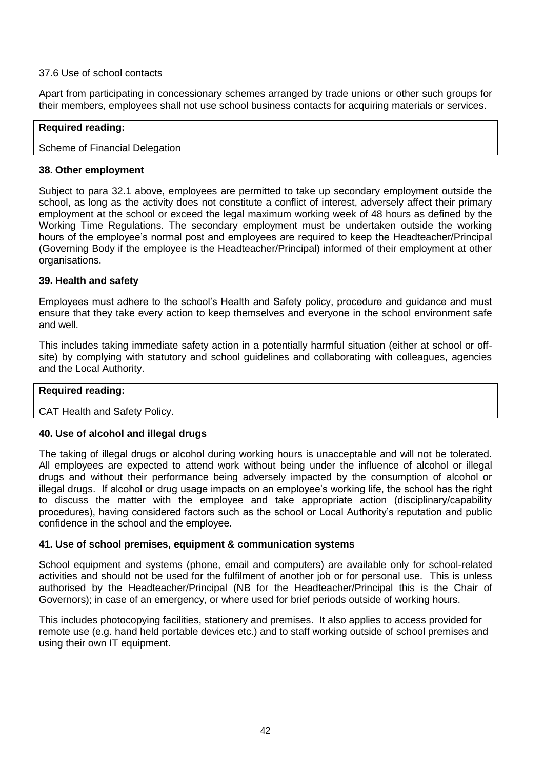# 37.6 Use of school contacts

Apart from participating in concessionary schemes arranged by trade unions or other such groups for their members, employees shall not use school business contacts for acquiring materials or services.

#### **Required reading:**

#### Scheme of Financial Delegation

#### **38. Other employment**

Subject to para 32.1 above, employees are permitted to take up secondary employment outside the school, as long as the activity does not constitute a conflict of interest, adversely affect their primary employment at the school or exceed the legal maximum working week of 48 hours as defined by the Working Time Regulations. The secondary employment must be undertaken outside the working hours of the employee's normal post and employees are required to keep the Headteacher/Principal (Governing Body if the employee is the Headteacher/Principal) informed of their employment at other organisations.

#### **39. Health and safety**

Employees must adhere to the school's Health and Safety policy, procedure and guidance and must ensure that they take every action to keep themselves and everyone in the school environment safe and well.

This includes taking immediate safety action in a potentially harmful situation (either at school or offsite) by complying with statutory and school guidelines and collaborating with colleagues, agencies and the Local Authority.

#### **Required reading:**

CAT Health and Safety Policy.

# **40. Use of alcohol and illegal drugs**

The taking of illegal drugs or alcohol during working hours is unacceptable and will not be tolerated. All employees are expected to attend work without being under the influence of alcohol or illegal drugs and without their performance being adversely impacted by the consumption of alcohol or illegal drugs. If alcohol or drug usage impacts on an employee's working life, the school has the right to discuss the matter with the employee and take appropriate action (disciplinary/capability procedures), having considered factors such as the school or Local Authority's reputation and public confidence in the school and the employee.

## **41. Use of school premises, equipment & communication systems**

School equipment and systems (phone, email and computers) are available only for school-related activities and should not be used for the fulfilment of another job or for personal use. This is unless authorised by the Headteacher/Principal (NB for the Headteacher/Principal this is the Chair of Governors); in case of an emergency, or where used for brief periods outside of working hours.

This includes photocopying facilities, stationery and premises. It also applies to access provided for remote use (e.g. hand held portable devices etc.) and to staff working outside of school premises and using their own IT equipment.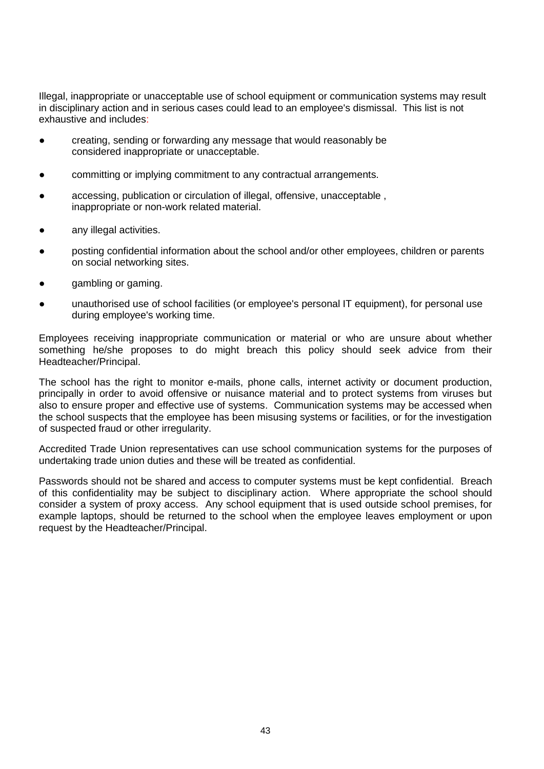Illegal, inappropriate or unacceptable use of school equipment or communication systems may result in disciplinary action and in serious cases could lead to an employee's dismissal. This list is not exhaustive and includes:

- creating, sending or forwarding any message that would reasonably be considered inappropriate or unacceptable.
- committing or implying commitment to any contractual arrangements.
- accessing, publication or circulation of illegal, offensive, unacceptable, inappropriate or non-work related material.
- any illegal activities.
- posting confidential information about the school and/or other employees, children or parents on social networking sites.
- gambling or gaming.
- unauthorised use of school facilities (or employee's personal IT equipment), for personal use during employee's working time.

Employees receiving inappropriate communication or material or who are unsure about whether something he/she proposes to do might breach this policy should seek advice from their Headteacher/Principal.

The school has the right to monitor e-mails, phone calls, internet activity or document production, principally in order to avoid offensive or nuisance material and to protect systems from viruses but also to ensure proper and effective use of systems. Communication systems may be accessed when the school suspects that the employee has been misusing systems or facilities, or for the investigation of suspected fraud or other irregularity.

Accredited Trade Union representatives can use school communication systems for the purposes of undertaking trade union duties and these will be treated as confidential.

Passwords should not be shared and access to computer systems must be kept confidential. Breach of this confidentiality may be subject to disciplinary action. Where appropriate the school should consider a system of proxy access. Any school equipment that is used outside school premises, for example laptops, should be returned to the school when the employee leaves employment or upon request by the Headteacher/Principal.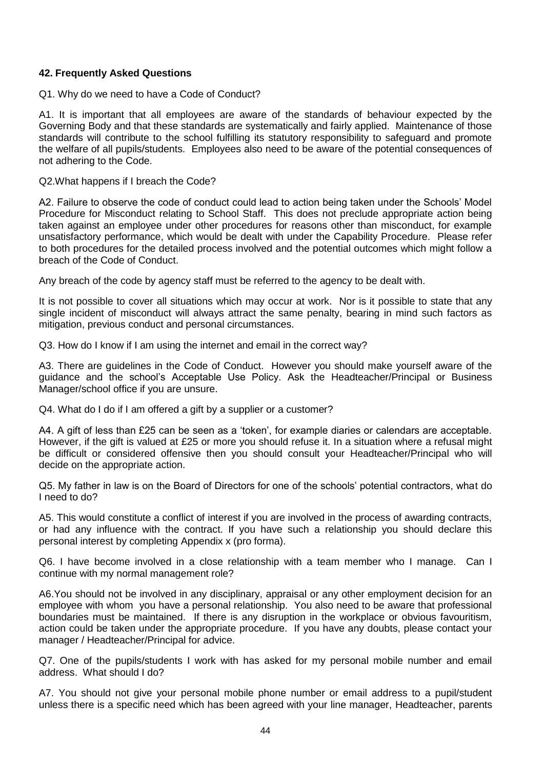# **42. Frequently Asked Questions**

Q1. Why do we need to have a Code of Conduct?

A1. It is important that all employees are aware of the standards of behaviour expected by the Governing Body and that these standards are systematically and fairly applied. Maintenance of those standards will contribute to the school fulfilling its statutory responsibility to safeguard and promote the welfare of all pupils/students. Employees also need to be aware of the potential consequences of not adhering to the Code.

Q2.What happens if I breach the Code?

A2. Failure to observe the code of conduct could lead to action being taken under the Schools' Model Procedure for Misconduct relating to School Staff. This does not preclude appropriate action being taken against an employee under other procedures for reasons other than misconduct, for example unsatisfactory performance, which would be dealt with under the Capability Procedure. Please refer to both procedures for the detailed process involved and the potential outcomes which might follow a breach of the Code of Conduct.

Any breach of the code by agency staff must be referred to the agency to be dealt with.

It is not possible to cover all situations which may occur at work. Nor is it possible to state that any single incident of misconduct will always attract the same penalty, bearing in mind such factors as mitigation, previous conduct and personal circumstances.

Q3. How do I know if I am using the internet and email in the correct way?

A3. There are guidelines in the Code of Conduct. However you should make yourself aware of the guidance and the school's Acceptable Use Policy. Ask the Headteacher/Principal or Business Manager/school office if you are unsure.

Q4. What do I do if I am offered a gift by a supplier or a customer?

A4. A gift of less than £25 can be seen as a 'token', for example diaries or calendars are acceptable. However, if the gift is valued at £25 or more you should refuse it. In a situation where a refusal might be difficult or considered offensive then you should consult your Headteacher/Principal who will decide on the appropriate action.

Q5. My father in law is on the Board of Directors for one of the schools' potential contractors, what do I need to do?

A5. This would constitute a conflict of interest if you are involved in the process of awarding contracts, or had any influence with the contract. If you have such a relationship you should declare this personal interest by completing Appendix x (pro forma).

Q6. I have become involved in a close relationship with a team member who I manage. Can I continue with my normal management role?

A6.You should not be involved in any disciplinary, appraisal or any other employment decision for an employee with whom you have a personal relationship. You also need to be aware that professional boundaries must be maintained. If there is any disruption in the workplace or obvious favouritism, action could be taken under the appropriate procedure. If you have any doubts, please contact your manager / Headteacher/Principal for advice.

Q7. One of the pupils/students I work with has asked for my personal mobile number and email address. What should I do?

A7. You should not give your personal mobile phone number or email address to a pupil/student unless there is a specific need which has been agreed with your line manager, Headteacher, parents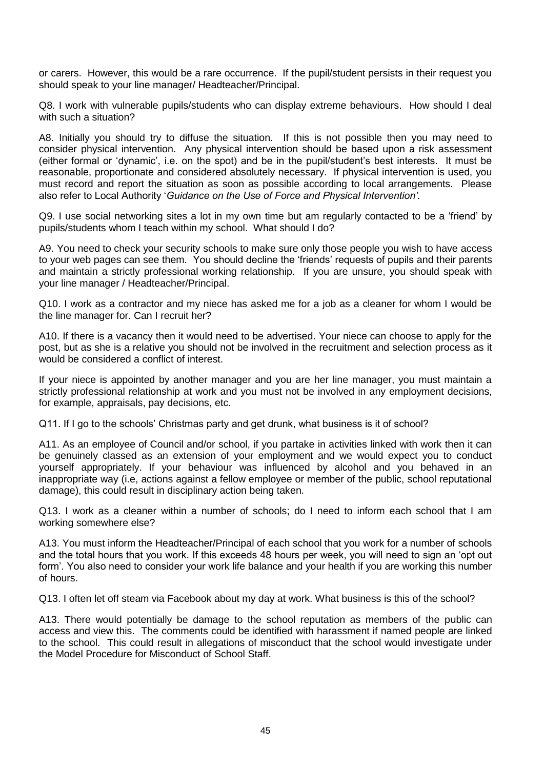or carers. However, this would be a rare occurrence. If the pupil/student persists in their request you should speak to your line manager/ Headteacher/Principal.

Q8. I work with vulnerable pupils/students who can display extreme behaviours. How should I deal with such a situation?

A8. Initially you should try to diffuse the situation. If this is not possible then you may need to consider physical intervention. Any physical intervention should be based upon a risk assessment (either formal or 'dynamic', i.e. on the spot) and be in the pupil/student's best interests. It must be reasonable, proportionate and considered absolutely necessary. If physical intervention is used, you must record and report the situation as soon as possible according to local arrangements. Please also refer to Local Authority '*Guidance on the Use of Force and Physical Intervention'.*

Q9. I use social networking sites a lot in my own time but am regularly contacted to be a 'friend' by pupils/students whom I teach within my school. What should I do?

A9. You need to check your security schools to make sure only those people you wish to have access to your web pages can see them. You should decline the 'friends' requests of pupils and their parents and maintain a strictly professional working relationship. If you are unsure, you should speak with your line manager / Headteacher/Principal.

Q10. I work as a contractor and my niece has asked me for a job as a cleaner for whom I would be the line manager for. Can I recruit her?

A10. If there is a vacancy then it would need to be advertised. Your niece can choose to apply for the post, but as she is a relative you should not be involved in the recruitment and selection process as it would be considered a conflict of interest.

If your niece is appointed by another manager and you are her line manager, you must maintain a strictly professional relationship at work and you must not be involved in any employment decisions, for example, appraisals, pay decisions, etc.

Q11. If I go to the schools' Christmas party and get drunk, what business is it of school?

A11. As an employee of Council and/or school, if you partake in activities linked with work then it can be genuinely classed as an extension of your employment and we would expect you to conduct yourself appropriately. If your behaviour was influenced by alcohol and you behaved in an inappropriate way (i.e, actions against a fellow employee or member of the public, school reputational damage), this could result in disciplinary action being taken.

Q13. I work as a cleaner within a number of schools; do I need to inform each school that I am working somewhere else?

A13. You must inform the Headteacher/Principal of each school that you work for a number of schools and the total hours that you work. If this exceeds 48 hours per week, you will need to sign an 'opt out form'. You also need to consider your work life balance and your health if you are working this number of hours.

Q13. I often let off steam via Facebook about my day at work. What business is this of the school?

A13. There would potentially be damage to the school reputation as members of the public can access and view this. The comments could be identified with harassment if named people are linked to the school. This could result in allegations of misconduct that the school would investigate under the Model Procedure for Misconduct of School Staff.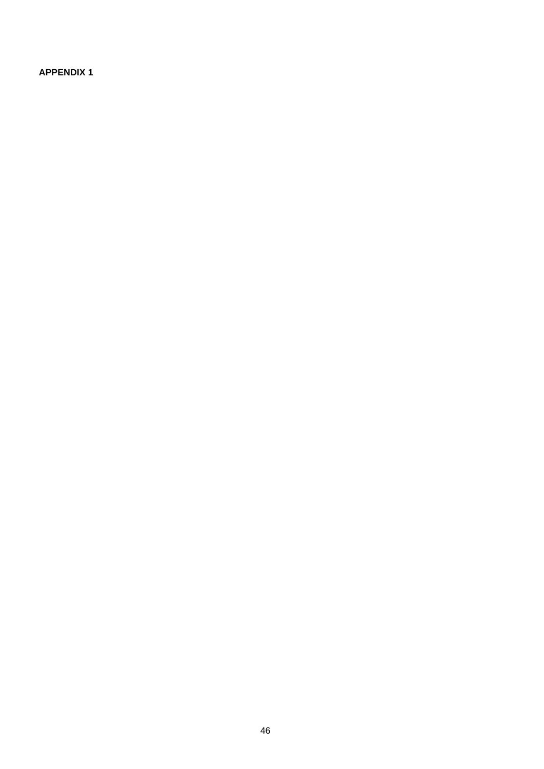**APPENDIX 1**